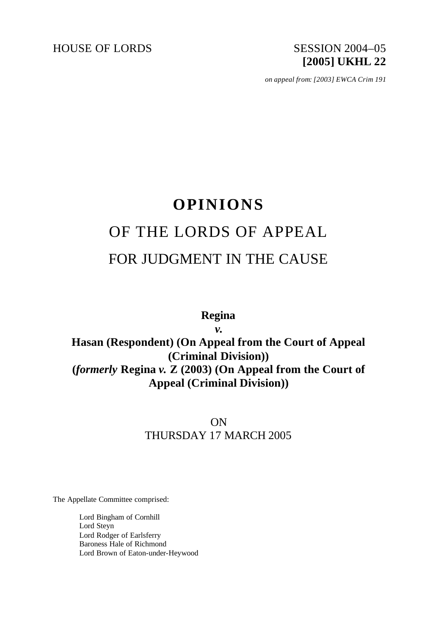HOUSE OF LORDS SESSION 2004–05

# **[2005] UKHL 22**

*on appeal from: [2003] EWCA Crim 191*

## **OPINIONS** OF THE LORDS OF APPEAL FOR JUDGMENT IN THE CAUSE

## **Regina**

*v.*

**Hasan (Respondent) (On Appeal from the Court of Appeal (Criminal Division)) (***formerly* **Regina** *v.* **Z (2003) (On Appeal from the Court of Appeal (Criminal Division))**

### ON THURSDAY 17 MARCH 2005

The Appellate Committee comprised:

Lord Bingham of Cornhill Lord Steyn Lord Rodger of Earlsferry Baroness Hale of Richmond Lord Brown of Eaton-under-Heywood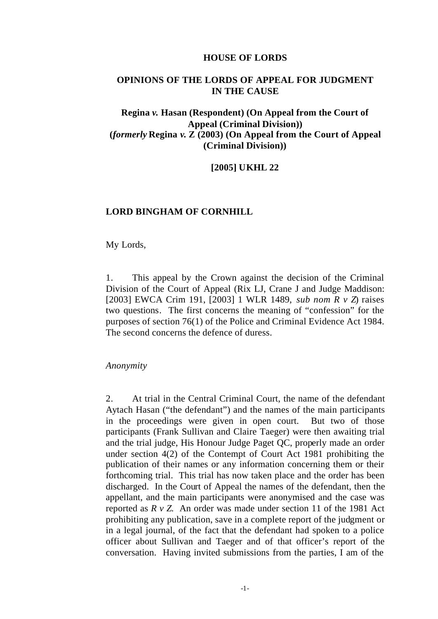#### **HOUSE OF LORDS**

#### **OPINIONS OF THE LORDS OF APPEAL FOR JUDGMENT IN THE CAUSE**

#### **Regina** *v.* **Hasan (Respondent) (On Appeal from the Court of Appeal (Criminal Division)) (***formerly* **Regina** *v.* **Z (2003) (On Appeal from the Court of Appeal (Criminal Division))**

**[2005] UKHL 22**

#### **LORD BINGHAM OF CORNHILL**

My Lords,

1. This appeal by the Crown against the decision of the Criminal Division of the Court of Appeal (Rix LJ, Crane J and Judge Maddison: [2003] EWCA Crim 191, [2003] 1 WLR 1489, *sub nom R v Z*) raises two questions. The first concerns the meaning of "confession" for the purposes of section 76(1) of the Police and Criminal Evidence Act 1984. The second concerns the defence of duress.

#### *Anonymity*

2. At trial in the Central Criminal Court, the name of the defendant Aytach Hasan ("the defendant") and the names of the main participants in the proceedings were given in open court. But two of those participants (Frank Sullivan and Claire Taeger) were then awaiting trial and the trial judge, His Honour Judge Paget QC, properly made an order under section 4(2) of the Contempt of Court Act 1981 prohibiting the publication of their names or any information concerning them or their forthcoming trial. This trial has now taken place and the order has been discharged. In the Court of Appeal the names of the defendant, then the appellant, and the main participants were anonymised and the case was reported as *R v Z*. An order was made under section 11 of the 1981 Act prohibiting any publication, save in a complete report of the judgment or in a legal journal, of the fact that the defendant had spoken to a police officer about Sullivan and Taeger and of that officer's report of the conversation. Having invited submissions from the parties, I am of the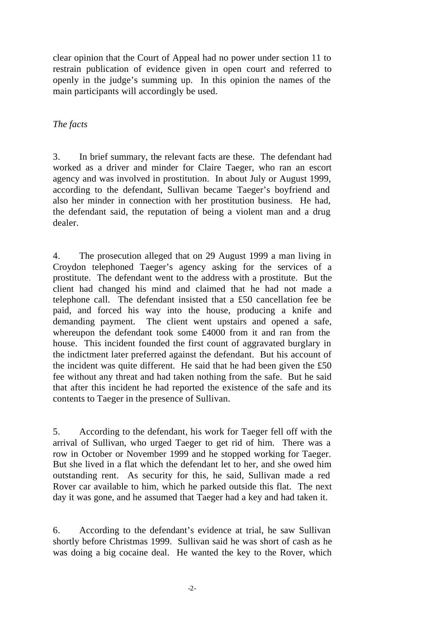clear opinion that the Court of Appeal had no power under section 11 to restrain publication of evidence given in open court and referred to openly in the judge's summing up. In this opinion the names of the main participants will accordingly be used.

#### *The facts*

3. In brief summary, the relevant facts are these. The defendant had worked as a driver and minder for Claire Taeger, who ran an escort agency and was involved in prostitution. In about July or August 1999, according to the defendant, Sullivan became Taeger's boyfriend and also her minder in connection with her prostitution business. He had, the defendant said, the reputation of being a violent man and a drug dealer.

4. The prosecution alleged that on 29 August 1999 a man living in Croydon telephoned Taeger's agency asking for the services of a prostitute. The defendant went to the address with a prostitute. But the client had changed his mind and claimed that he had not made a telephone call. The defendant insisted that a £50 cancellation fee be paid, and forced his way into the house, producing a knife and demanding payment. The client went upstairs and opened a safe, whereupon the defendant took some £4000 from it and ran from the house. This incident founded the first count of aggravated burglary in the indictment later preferred against the defendant. But his account of the incident was quite different. He said that he had been given the £50 fee without any threat and had taken nothing from the safe. But he said that after this incident he had reported the existence of the safe and its contents to Taeger in the presence of Sullivan.

5. According to the defendant, his work for Taeger fell off with the arrival of Sullivan, who urged Taeger to get rid of him. There was a row in October or November 1999 and he stopped working for Taeger. But she lived in a flat which the defendant let to her, and she owed him outstanding rent. As security for this, he said, Sullivan made a red Rover car available to him, which he parked outside this flat. The next day it was gone, and he assumed that Taeger had a key and had taken it.

6. According to the defendant's evidence at trial, he saw Sullivan shortly before Christmas 1999. Sullivan said he was short of cash as he was doing a big cocaine deal. He wanted the key to the Rover, which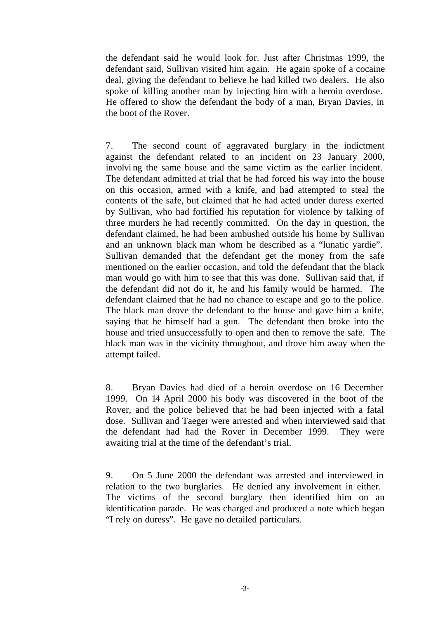the defendant said he would look for. Just after Christmas 1999, the defendant said, Sullivan visited him again. He again spoke of a cocaine deal, giving the defendant to believe he had killed two dealers. He also spoke of killing another man by injecting him with a heroin overdose. He offered to show the defendant the body of a man, Bryan Davies, in the boot of the Rover.

7. The second count of aggravated burglary in the indictment against the defendant related to an incident on 23 January 2000, involvi ng the same house and the same victim as the earlier incident. The defendant admitted at trial that he had forced his way into the house on this occasion, armed with a knife, and had attempted to steal the contents of the safe, but claimed that he had acted under duress exerted by Sullivan, who had fortified his reputation for violence by talking of three murders he had recently committed. On the day in question, the defendant claimed, he had been ambushed outside his home by Sullivan and an unknown black man whom he described as a "lunatic yardie". Sullivan demanded that the defendant get the money from the safe mentioned on the earlier occasion, and told the defendant that the black man would go with him to see that this was done. Sullivan said that, if the defendant did not do it, he and his family would be harmed. The defendant claimed that he had no chance to escape and go to the police. The black man drove the defendant to the house and gave him a knife, saying that he himself had a gun. The defendant then broke into the house and tried unsuccessfully to open and then to remove the safe. The black man was in the vicinity throughout, and drove him away when the attempt failed.

8. Bryan Davies had died of a heroin overdose on 16 December 1999. On 14 April 2000 his body was discovered in the boot of the Rover, and the police believed that he had been injected with a fatal dose. Sullivan and Taeger were arrested and when interviewed said that the defendant had had the Rover in December 1999. They were awaiting trial at the time of the defendant's trial.

9. On 5 June 2000 the defendant was arrested and interviewed in relation to the two burglaries. He denied any involvement in either. The victims of the second burglary then identified him on an identification parade. He was charged and produced a note which began "I rely on duress". He gave no detailed particulars.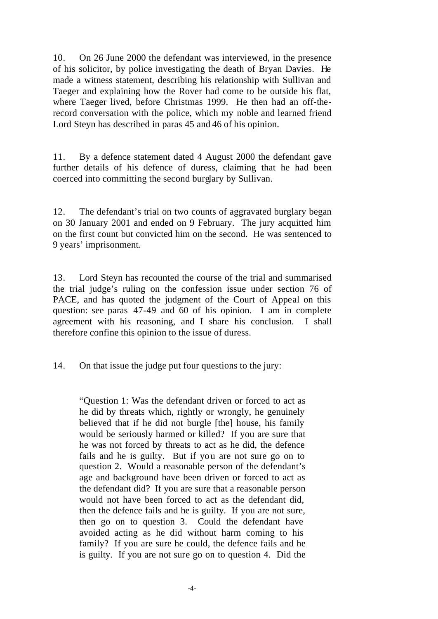10. On 26 June 2000 the defendant was interviewed, in the presence of his solicitor, by police investigating the death of Bryan Davies. He made a witness statement, describing his relationship with Sullivan and Taeger and explaining how the Rover had come to be outside his flat, where Taeger lived, before Christmas 1999. He then had an off-therecord conversation with the police, which my noble and learned friend Lord Steyn has described in paras 45 and 46 of his opinion.

11. By a defence statement dated 4 August 2000 the defendant gave further details of his defence of duress, claiming that he had been coerced into committing the second burglary by Sullivan.

12. The defendant's trial on two counts of aggravated burglary began on 30 January 2001 and ended on 9 February. The jury acquitted him on the first count but convicted him on the second. He was sentenced to 9 years' imprisonment.

13. Lord Steyn has recounted the course of the trial and summarised the trial judge's ruling on the confession issue under section 76 of PACE, and has quoted the judgment of the Court of Appeal on this question: see paras 47-49 and 60 of his opinion. I am in complete agreement with his reasoning, and I share his conclusion. I shall therefore confine this opinion to the issue of duress.

14. On that issue the judge put four questions to the jury:

"Question 1: Was the defendant driven or forced to act as he did by threats which, rightly or wrongly, he genuinely believed that if he did not burgle [the] house, his family would be seriously harmed or killed? If you are sure that he was not forced by threats to act as he did, the defence fails and he is guilty. But if you are not sure go on to question 2. Would a reasonable person of the defendant's age and background have been driven or forced to act as the defendant did? If you are sure that a reasonable person would not have been forced to act as the defendant did, then the defence fails and he is guilty. If you are not sure, then go on to question 3. Could the defendant have avoided acting as he did without harm coming to his family? If you are sure he could, the defence fails and he is guilty. If you are not sure go on to question 4. Did the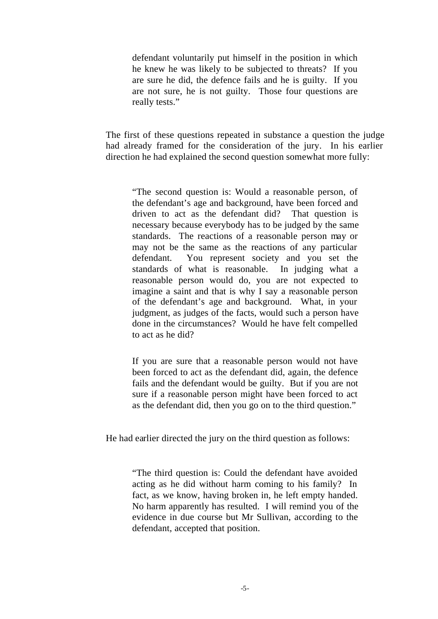defendant voluntarily put himself in the position in which he knew he was likely to be subjected to threats? If you are sure he did, the defence fails and he is guilty. If you are not sure, he is not guilty. Those four questions are really tests."

The first of these questions repeated in substance a question the judge had already framed for the consideration of the jury. In his earlier direction he had explained the second question somewhat more fully:

"The second question is: Would a reasonable person, of the defendant's age and background, have been forced and driven to act as the defendant did? That question is necessary because everybody has to be judged by the same standards. The reactions of a reasonable person may or may not be the same as the reactions of any particular defendant. You represent society and you set the standards of what is reasonable. In judging what a reasonable person would do, you are not expected to imagine a saint and that is why I say a reasonable person of the defendant's age and background. What, in your judgment, as judges of the facts, would such a person have done in the circumstances? Would he have felt compelled to act as he did?

If you are sure that a reasonable person would not have been forced to act as the defendant did, again, the defence fails and the defendant would be guilty. But if you are not sure if a reasonable person might have been forced to act as the defendant did, then you go on to the third question."

He had earlier directed the jury on the third question as follows:

"The third question is: Could the defendant have avoided acting as he did without harm coming to his family? In fact, as we know, having broken in, he left empty handed. No harm apparently has resulted. I will remind you of the evidence in due course but Mr Sullivan, according to the defendant, accepted that position.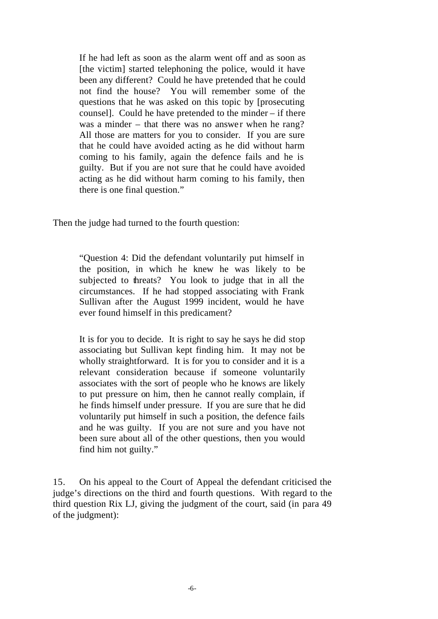If he had left as soon as the alarm went off and as soon as [the victim] started telephoning the police, would it have been any different? Could he have pretended that he could not find the house? You will remember some of the questions that he was asked on this topic by [prosecuting counsel]. Could he have pretended to the minder – if there was a minder  $-$  that there was no answer when he rang? All those are matters for you to consider. If you are sure that he could have avoided acting as he did without harm coming to his family, again the defence fails and he is guilty. But if you are not sure that he could have avoided acting as he did without harm coming to his family, then there is one final question."

Then the judge had turned to the fourth question:

"Question 4: Did the defendant voluntarily put himself in the position, in which he knew he was likely to be subjected to threats? You look to judge that in all the circumstances. If he had stopped associating with Frank Sullivan after the August 1999 incident, would he have ever found himself in this predicament?

It is for you to decide. It is right to say he says he did stop associating but Sullivan kept finding him. It may not be wholly straightforward. It is for you to consider and it is a relevant consideration because if someone voluntarily associates with the sort of people who he knows are likely to put pressure on him, then he cannot really complain, if he finds himself under pressure. If you are sure that he did voluntarily put himself in such a position, the defence fails and he was guilty. If you are not sure and you have not been sure about all of the other questions, then you would find him not guilty."

15. On his appeal to the Court of Appeal the defendant criticised the judge's directions on the third and fourth questions. With regard to the third question Rix LJ, giving the judgment of the court, said (in para 49 of the judgment):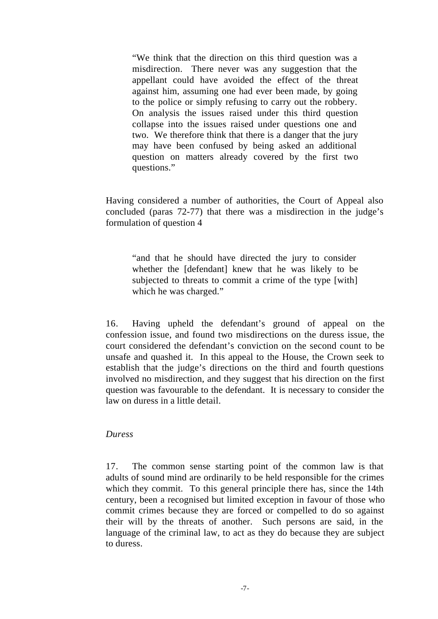"We think that the direction on this third question was a misdirection. There never was any suggestion that the appellant could have avoided the effect of the threat against him, assuming one had ever been made, by going to the police or simply refusing to carry out the robbery. On analysis the issues raised under this third question collapse into the issues raised under questions one and two. We therefore think that there is a danger that the jury may have been confused by being asked an additional question on matters already covered by the first two questions."

Having considered a number of authorities, the Court of Appeal also concluded (paras 72-77) that there was a misdirection in the judge's formulation of question 4

"and that he should have directed the jury to consider whether the [defendant] knew that he was likely to be subjected to threats to commit a crime of the type [with] which he was charged."

16. Having upheld the defendant's ground of appeal on the confession issue, and found two misdirections on the duress issue, the court considered the defendant's conviction on the second count to be unsafe and quashed it. In this appeal to the House, the Crown seek to establish that the judge's directions on the third and fourth questions involved no misdirection, and they suggest that his direction on the first question was favourable to the defendant. It is necessary to consider the law on duress in a little detail.

#### *Duress*

17. The common sense starting point of the common law is that adults of sound mind are ordinarily to be held responsible for the crimes which they commit. To this general principle there has, since the 14th century, been a recognised but limited exception in favour of those who commit crimes because they are forced or compelled to do so against their will by the threats of another. Such persons are said, in the language of the criminal law, to act as they do because they are subject to duress.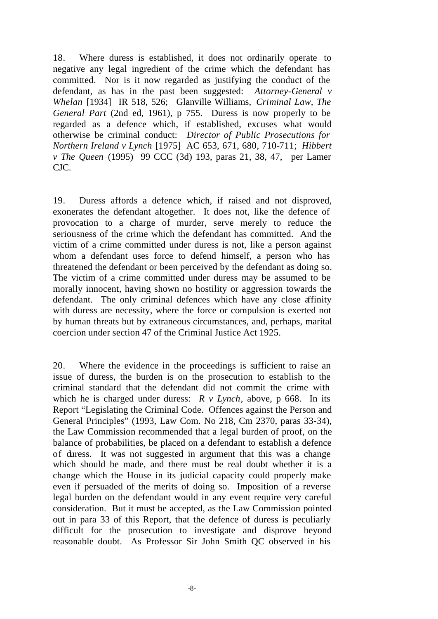18. Where duress is established, it does not ordinarily operate to negative any legal ingredient of the crime which the defendant has committed. Nor is it now regarded as justifying the conduct of the defendant, as has in the past been suggested: *Attorney-General v Whelan* [1934] IR 518, 526; Glanville Williams, *Criminal Law, The General Part* (2nd ed, 1961), p 755. Duress is now properly to be regarded as a defence which, if established, excuses what would otherwise be criminal conduct: *Director of Public Prosecutions for Northern Ireland v Lynch* [1975] AC 653, 671, 680, 710-711; *Hibbert v The Queen* (1995) 99 CCC (3d) 193, paras 21, 38, 47, per Lamer CJC.

19. Duress affords a defence which, if raised and not disproved, exonerates the defendant altogether. It does not, like the defence of provocation to a charge of murder, serve merely to reduce the seriousness of the crime which the defendant has committed. And the victim of a crime committed under duress is not, like a person against whom a defendant uses force to defend himself, a person who has threatened the defendant or been perceived by the defendant as doing so. The victim of a crime committed under duress may be assumed to be morally innocent, having shown no hostility or aggression towards the defendant. The only criminal defences which have any close affinity with duress are necessity, where the force or compulsion is exerted not by human threats but by extraneous circumstances, and, perhaps, marital coercion under section 47 of the Criminal Justice Act 1925.

20. Where the evidence in the proceedings is sufficient to raise an issue of duress, the burden is on the prosecution to establish to the criminal standard that the defendant did not commit the crime with which he is charged under duress: *R v Lynch*, above, p 668. In its Report "Legislating the Criminal Code. Offences against the Person and General Principles" (1993, Law Com. No 218, Cm 2370, paras 33-34), the Law Commission recommended that a legal burden of proof, on the balance of probabilities, be placed on a defendant to establish a defence of duress. It was not suggested in argument that this was a change which should be made, and there must be real doubt whether it is a change which the House in its judicial capacity could properly make even if persuaded of the merits of doing so. Imposition of a reverse legal burden on the defendant would in any event require very careful consideration. But it must be accepted, as the Law Commission pointed out in para 33 of this Report, that the defence of duress is peculiarly difficult for the prosecution to investigate and disprove beyond reasonable doubt. As Professor Sir John Smith QC observed in his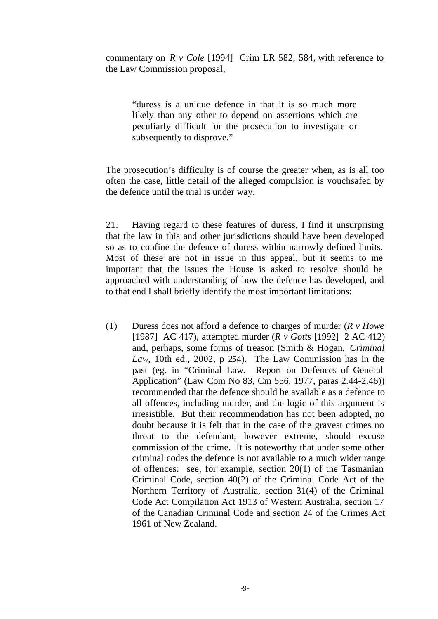"duress is a unique defence in that it is so much more likely than any other to depend on assertions which are peculiarly difficult for the prosecution to investigate or subsequently to disprove."

The prosecution's difficulty is of course the greater when, as is all too often the case, little detail of the alleged compulsion is vouchsafed by the defence until the trial is under way.

21. Having regard to these features of duress, I find it unsurprising that the law in this and other jurisdictions should have been developed so as to confine the defence of duress within narrowly defined limits. Most of these are not in issue in this appeal, but it seems to me important that the issues the House is asked to resolve should be approached with understanding of how the defence has developed, and to that end I shall briefly identify the most important limitations:

(1) Duress does not afford a defence to charges of murder (*R v Howe* [1987] AC 417), attempted murder (*R v Gotts* [1992] 2 AC 412) and, perhaps, some forms of treason (Smith & Hogan, *Criminal Law*, 10th ed., 2002, p 254). The Law Commission has in the past (eg. in "Criminal Law. Report on Defences of General Application" (Law Com No 83, Cm 556, 1977, paras 2.44-2.46)) recommended that the defence should be available as a defence to all offences, including murder, and the logic of this argument is irresistible. But their recommendation has not been adopted, no doubt because it is felt that in the case of the gravest crimes no threat to the defendant, however extreme, should excuse commission of the crime. It is noteworthy that under some other criminal codes the defence is not available to a much wider range of offences: see, for example, section 20(1) of the Tasmanian Criminal Code, section 40(2) of the Criminal Code Act of the Northern Territory of Australia, section 31(4) of the Criminal Code Act Compilation Act 1913 of Western Australia, section 17 of the Canadian Criminal Code and section 24 of the Crimes Act 1961 of New Zealand.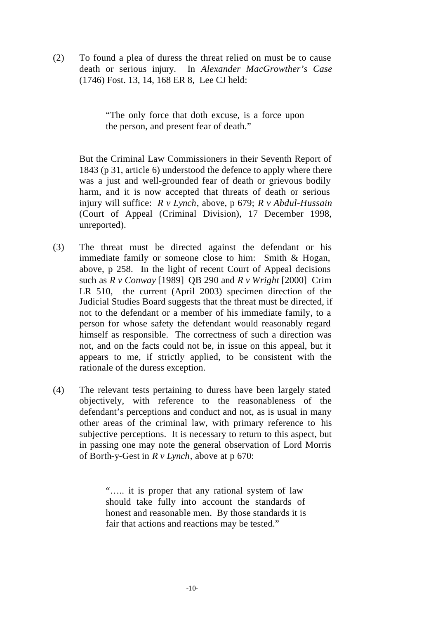(2) To found a plea of duress the threat relied on must be to cause death or serious injury. In *Alexander MacGrowther's Case* (1746) Fost. 13, 14, 168 ER 8, Lee CJ held:

> "The only force that doth excuse, is a force upon the person, and present fear of death."

But the Criminal Law Commissioners in their Seventh Report of 1843 (p 31, article 6) understood the defence to apply where there was a just and well-grounded fear of death or grievous bodily harm, and it is now accepted that threats of death or serious injury will suffice: *R v Lynch*, above, p 679; *R v Abdul-Hussain* (Court of Appeal (Criminal Division), 17 December 1998, unreported).

- (3) The threat must be directed against the defendant or his immediate family or someone close to him: Smith & Hogan, above, p 258. In the light of recent Court of Appeal decisions such as *R v Conway* [1989] QB 290 and *R v Wright* [2000] Crim LR 510, the current (April 2003) specimen direction of the Judicial Studies Board suggests that the threat must be directed, if not to the defendant or a member of his immediate family, to a person for whose safety the defendant would reasonably regard himself as responsible. The correctness of such a direction was not, and on the facts could not be, in issue on this appeal, but it appears to me, if strictly applied, to be consistent with the rationale of the duress exception.
- (4) The relevant tests pertaining to duress have been largely stated objectively, with reference to the reasonableness of the defendant's perceptions and conduct and not, as is usual in many other areas of the criminal law, with primary reference to his subjective perceptions. It is necessary to return to this aspect, but in passing one may note the general observation of Lord Morris of Borth-y-Gest in *R v Lynch*, above at p 670:

"….. it is proper that any rational system of law should take fully into account the standards of honest and reasonable men. By those standards it is fair that actions and reactions may be tested."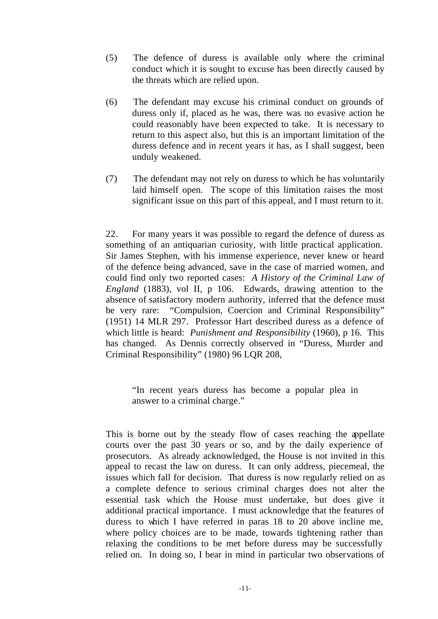- (5) The defence of duress is available only where the criminal conduct which it is sought to excuse has been directly caused by the threats which are relied upon.
- (6) The defendant may excuse his criminal conduct on grounds of duress only if, placed as he was, there was no evasive action he could reasonably have been expected to take. It is necessary to return to this aspect also, but this is an important limitation of the duress defence and in recent years it has, as I shall suggest, been unduly weakened.
- (7) The defendant may not rely on duress to which he has voluntarily laid himself open. The scope of this limitation raises the most significant issue on this part of this appeal, and I must return to it.

22. For many years it was possible to regard the defence of duress as something of an antiquarian curiosity, with little practical application. Sir James Stephen, with his immense experience, never knew or heard of the defence being advanced, save in the case of married women, and could find only two reported cases: *A History of the Criminal Law of England* (1883), vol II, p 106. Edwards, drawing attention to the absence of satisfactory modern authority, inferred that the defence must be very rare: "Compulsion, Coercion and Criminal Responsibility" (1951) 14 MLR 297. Professor Hart described duress as a defence of which little is heard: *Punishment and Responsibility* (1960), p 16. This has changed. As Dennis correctly observed in "Duress, Murder and Criminal Responsibility" (1980) 96 LQR 208,

"In recent years duress has become a popular plea in answer to a criminal charge."

This is borne out by the steady flow of cases reaching the appellate courts over the past 30 years or so, and by the daily experience of prosecutors. As already acknowledged, the House is not invited in this appeal to recast the law on duress. It can only address, piecemeal, the issues which fall for decision. That duress is now regularly relied on as a complete defence to serious criminal charges does not alter the essential task which the House must undertake, but does give it additional practical importance. I must acknowledge that the features of duress to which I have referred in paras 18 to 20 above incline me, where policy choices are to be made, towards tightening rather than relaxing the conditions to be met before duress may be successfully relied on. In doing so, I bear in mind in particular two observations of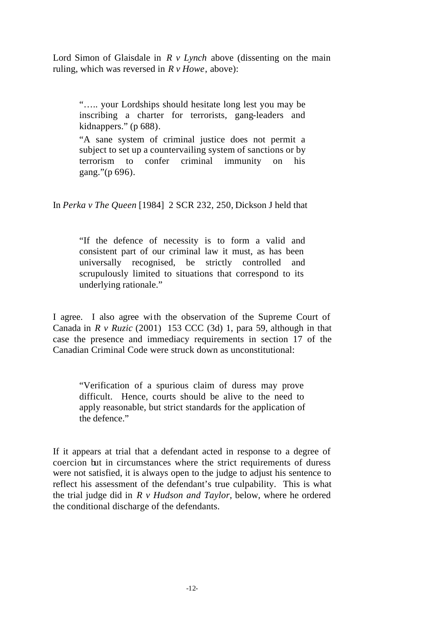Lord Simon of Glaisdale in *R v Lynch* above (dissenting on the main ruling, which was reversed in *R v Howe*, above):

"….. your Lordships should hesitate long lest you may be inscribing a charter for terrorists, gang-leaders and kidnappers." (p 688).

"A sane system of criminal justice does not permit a subject to set up a countervailing system of sanctions or by terrorism to confer criminal immunity on his gang."(p 696).

In *Perka v The Queen* [1984] 2 SCR 232, 250, Dickson J held that

"If the defence of necessity is to form a valid and consistent part of our criminal law it must, as has been universally recognised, be strictly controlled and scrupulously limited to situations that correspond to its underlying rationale."

I agree. I also agree with the observation of the Supreme Court of Canada in *R v Ruzic* (2001) 153 CCC (3d) 1, para 59, although in that case the presence and immediacy requirements in section 17 of the Canadian Criminal Code were struck down as unconstitutional:

"Verification of a spurious claim of duress may prove difficult. Hence, courts should be alive to the need to apply reasonable, but strict standards for the application of the defence."

If it appears at trial that a defendant acted in response to a degree of coercion but in circumstances where the strict requirements of duress were not satisfied, it is always open to the judge to adjust his sentence to reflect his assessment of the defendant's true culpability. This is what the trial judge did in *R v Hudson and Taylor*, below, where he ordered the conditional discharge of the defendants.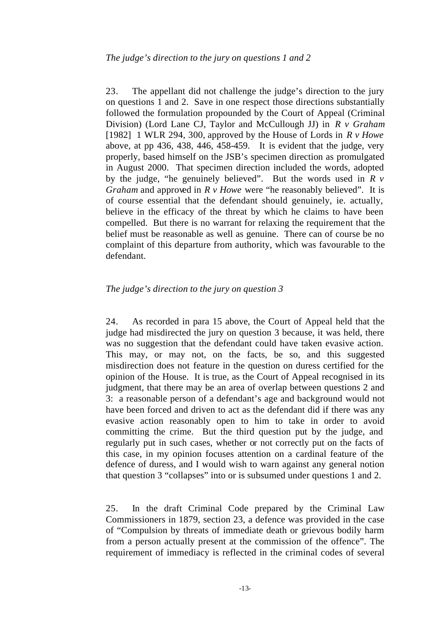23. The appellant did not challenge the judge's direction to the jury on questions 1 and 2. Save in one respect those directions substantially followed the formulation propounded by the Court of Appeal (Criminal Division) (Lord Lane CJ, Taylor and McCullough JJ) in *R v Graham* [1982] 1 WLR 294, 300, approved by the House of Lords in *R v Howe* above, at pp 436, 438, 446, 458-459. It is evident that the judge, very properly, based himself on the JSB's specimen direction as promulgated in August 2000. That specimen direction included the words, adopted by the judge, "he genuinely believed". But the words used in *R v Graham* and approved in *R v Howe* were "he reasonably believed". It is of course essential that the defendant should genuinely, ie. actually, believe in the efficacy of the threat by which he claims to have been compelled. But there is no warrant for relaxing the requirement that the belief must be reasonable as well as genuine. There can of course be no complaint of this departure from authority, which was favourable to the defendant.

#### *The judge's direction to the jury on question 3*

24. As recorded in para 15 above, the Court of Appeal held that the judge had misdirected the jury on question 3 because, it was held, there was no suggestion that the defendant could have taken evasive action. This may, or may not, on the facts, be so, and this suggested misdirection does not feature in the question on duress certified for the opinion of the House. It is true, as the Court of Appeal recognised in its judgment, that there may be an area of overlap between questions 2 and 3: a reasonable person of a defendant's age and background would not have been forced and driven to act as the defendant did if there was any evasive action reasonably open to him to take in order to avoid committing the crime. But the third question put by the judge, and regularly put in such cases, whether or not correctly put on the facts of this case, in my opinion focuses attention on a cardinal feature of the defence of duress, and I would wish to warn against any general notion that question 3 "collapses" into or is subsumed under questions 1 and 2.

25. In the draft Criminal Code prepared by the Criminal Law Commissioners in 1879, section 23, a defence was provided in the case of "Compulsion by threats of immediate death or grievous bodily harm from a person actually present at the commission of the offence". The requirement of immediacy is reflected in the criminal codes of several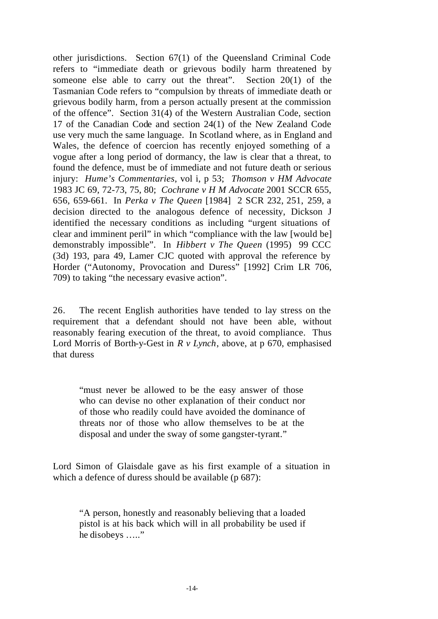other jurisdictions. Section 67(1) of the Queensland Criminal Code refers to "immediate death or grievous bodily harm threatened by someone else able to carry out the threat". Section 20(1) of the Tasmanian Code refers to "compulsion by threats of immediate death or grievous bodily harm, from a person actually present at the commission of the offence". Section 31(4) of the Western Australian Code, section 17 of the Canadian Code and section 24(1) of the New Zealand Code use very much the same language. In Scotland where, as in England and Wales, the defence of coercion has recently enjoyed something of a vogue after a long period of dormancy, the law is clear that a threat, to found the defence, must be of immediate and not future death or serious injury: *Hume's Commentaries*, vol i, p 53; *Thomson v HM Advocate* 1983 JC 69, 72-73, 75, 80; *Cochrane v H M Advocate* 2001 SCCR 655, 656, 659-661. In *Perka v The Queen* [1984] 2 SCR 232, 251, 259, a decision directed to the analogous defence of necessity, Dickson J identified the necessary conditions as including "urgent situations of clear and imminent peril" in which "compliance with the law [would be] demonstrably impossible". In *Hibbert v The Queen* (1995) 99 CCC (3d) 193, para 49, Lamer CJC quoted with approval the reference by Horder ("Autonomy, Provocation and Duress" [1992] Crim LR 706, 709) to taking "the necessary evasive action".

26. The recent English authorities have tended to lay stress on the requirement that a defendant should not have been able, without reasonably fearing execution of the threat, to avoid compliance. Thus Lord Morris of Borth-y-Gest in *R v Lynch*, above, at p 670, emphasised that duress

"must never be allowed to be the easy answer of those who can devise no other explanation of their conduct nor of those who readily could have avoided the dominance of threats nor of those who allow themselves to be at the disposal and under the sway of some gangster-tyrant."

Lord Simon of Glaisdale gave as his first example of a situation in which a defence of duress should be available (p 687):

"A person, honestly and reasonably believing that a loaded pistol is at his back which will in all probability be used if he disobeys ....."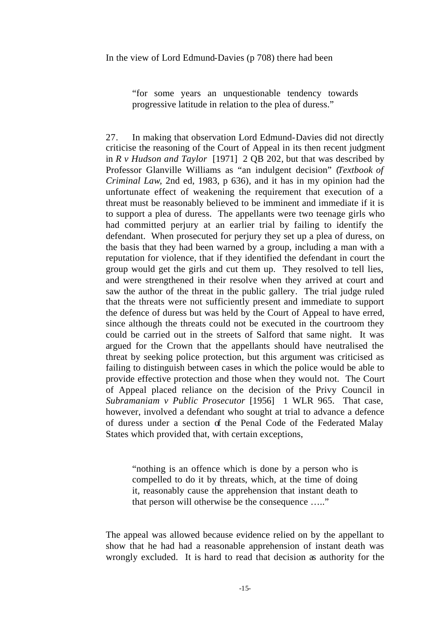#### In the view of Lord Edmund-Davies (p 708) there had been

"for some years an unquestionable tendency towards progressive latitude in relation to the plea of duress."

27. In making that observation Lord Edmund-Davies did not directly criticise the reasoning of the Court of Appeal in its then recent judgment in *R v Hudson and Taylor* [1971] 2 QB 202, but that was described by Professor Glanville Williams as "an indulgent decision" (*Textbook of Criminal Law*, 2nd ed, 1983, p 636), and it has in my opinion had the unfortunate effect of weakening the requirement that execution of a threat must be reasonably believed to be imminent and immediate if it is to support a plea of duress. The appellants were two teenage girls who had committed perjury at an earlier trial by failing to identify the defendant. When prosecuted for perjury they set up a plea of duress, on the basis that they had been warned by a group, including a man with a reputation for violence, that if they identified the defendant in court the group would get the girls and cut them up. They resolved to tell lies, and were strengthened in their resolve when they arrived at court and saw the author of the threat in the public gallery. The trial judge ruled that the threats were not sufficiently present and immediate to support the defence of duress but was held by the Court of Appeal to have erred, since although the threats could not be executed in the courtroom they could be carried out in the streets of Salford that same night. It was argued for the Crown that the appellants should have neutralised the threat by seeking police protection, but this argument was criticised as failing to distinguish between cases in which the police would be able to provide effective protection and those when they would not. The Court of Appeal placed reliance on the decision of the Privy Council in *Subramaniam v Public Prosecutor* [1956] 1 WLR 965. That case, however, involved a defendant who sought at trial to advance a defence of duress under a section of the Penal Code of the Federated Malay States which provided that, with certain exceptions,

"nothing is an offence which is done by a person who is compelled to do it by threats, which, at the time of doing it, reasonably cause the apprehension that instant death to that person will otherwise be the consequence ….."

The appeal was allowed because evidence relied on by the appellant to show that he had had a reasonable apprehension of instant death was wrongly excluded. It is hard to read that decision as authority for the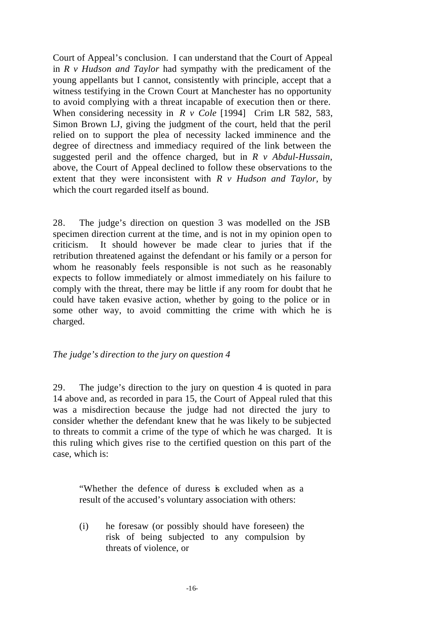Court of Appeal's conclusion. I can understand that the Court of Appeal in *R v Hudson and Taylor* had sympathy with the predicament of the young appellants but I cannot, consistently with principle, accept that a witness testifying in the Crown Court at Manchester has no opportunity to avoid complying with a threat incapable of execution then or there. When considering necessity in *R v Cole* [1994] Crim LR 582, 583, Simon Brown LJ, giving the judgment of the court, held that the peril relied on to support the plea of necessity lacked imminence and the degree of directness and immediacy required of the link between the suggested peril and the offence charged, but in *R v Abdul-Hussain*, above, the Court of Appeal declined to follow these observations to the extent that they were inconsistent with *R v Hudson and Taylor,* by which the court regarded itself as bound.

28. The judge's direction on question 3 was modelled on the JSB specimen direction current at the time, and is not in my opinion open to criticism. It should however be made clear to juries that if the retribution threatened against the defendant or his family or a person for whom he reasonably feels responsible is not such as he reasonably expects to follow immediately or almost immediately on his failure to comply with the threat, there may be little if any room for doubt that he could have taken evasive action, whether by going to the police or in some other way, to avoid committing the crime with which he is charged.

#### *The judge's direction to the jury on question 4*

29. The judge's direction to the jury on question 4 is quoted in para 14 above and, as recorded in para 15, the Court of Appeal ruled that this was a misdirection because the judge had not directed the jury to consider whether the defendant knew that he was likely to be subjected to threats to commit a crime of the type of which he was charged. It is this ruling which gives rise to the certified question on this part of the case, which is:

"Whether the defence of duress is excluded when as a result of the accused's voluntary association with others:

(i) he foresaw (or possibly should have foreseen) the risk of being subjected to any compulsion by threats of violence, or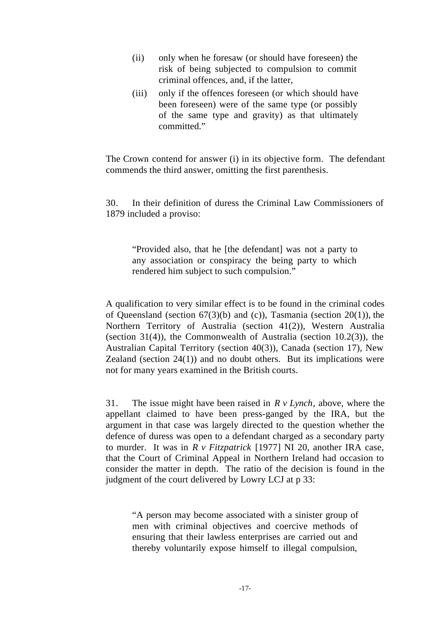- (ii) only when he foresaw (or should have foreseen) the risk of being subjected to compulsion to commit criminal offences, and, if the latter,
- (iii) only if the offences foreseen (or which should have been foreseen) were of the same type (or possibly of the same type and gravity) as that ultimately committed."

The Crown contend for answer (i) in its objective form. The defendant commends the third answer, omitting the first parenthesis.

30. In their definition of duress the Criminal Law Commissioners of 1879 included a proviso:

"Provided also, that he [the defendant] was not a party to any association or conspiracy the being party to which rendered him subject to such compulsion."

A qualification to very similar effect is to be found in the criminal codes of Queensland (section  $67(3)(b)$  and (c)), Tasmania (section  $20(1)$ ), the Northern Territory of Australia (section 41(2)), Western Australia (section 31(4)), the Commonwealth of Australia (section 10.2(3)), the Australian Capital Territory (section 40(3)), Canada (section 17), New Zealand (section 24(1)) and no doubt others. But its implications were not for many years examined in the British courts.

31. The issue might have been raised in *R v Lynch*, above, where the appellant claimed to have been press-ganged by the IRA, but the argument in that case was largely directed to the question whether the defence of duress was open to a defendant charged as a secondary party to murder. It was in *R v Fitzpatrick* [1977] NI 20, another IRA case, that the Court of Criminal Appeal in Northern Ireland had occasion to consider the matter in depth. The ratio of the decision is found in the judgment of the court delivered by Lowry LCJ at p 33:

"A person may become associated with a sinister group of men with criminal objectives and coercive methods of ensuring that their lawless enterprises are carried out and thereby voluntarily expose himself to illegal compulsion,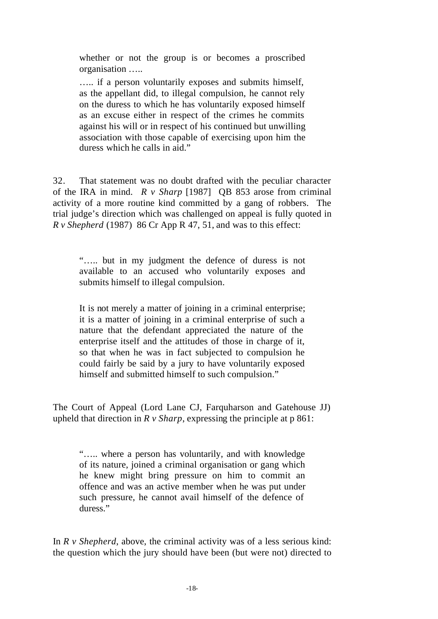whether or not the group is or becomes a proscribed organisation …..

….. if a person voluntarily exposes and submits himself, as the appellant did, to illegal compulsion, he cannot rely on the duress to which he has voluntarily exposed himself as an excuse either in respect of the crimes he commits against his will or in respect of his continued but unwilling association with those capable of exercising upon him the duress which he calls in aid."

32. That statement was no doubt drafted with the peculiar character of the IRA in mind. *R v Sharp* [1987] QB 853 arose from criminal activity of a more routine kind committed by a gang of robbers. The trial judge's direction which was challenged on appeal is fully quoted in *R v Shepherd* (1987) 86 Cr App R 47, 51, and was to this effect:

"….. but in my judgment the defence of duress is not available to an accused who voluntarily exposes and submits himself to illegal compulsion.

It is not merely a matter of joining in a criminal enterprise; it is a matter of joining in a criminal enterprise of such a nature that the defendant appreciated the nature of the enterprise itself and the attitudes of those in charge of it, so that when he was in fact subjected to compulsion he could fairly be said by a jury to have voluntarily exposed himself and submitted himself to such compulsion."

The Court of Appeal (Lord Lane CJ, Farquharson and Gatehouse JJ) upheld that direction in  $R v$  Sharp, expressing the principle at p 861:

"….. where a person has voluntarily, and with knowledge of its nature, joined a criminal organisation or gang which he knew might bring pressure on him to commit an offence and was an active member when he was put under such pressure, he cannot avail himself of the defence of duress."

In *R v Shepherd*, above, the criminal activity was of a less serious kind: the question which the jury should have been (but were not) directed to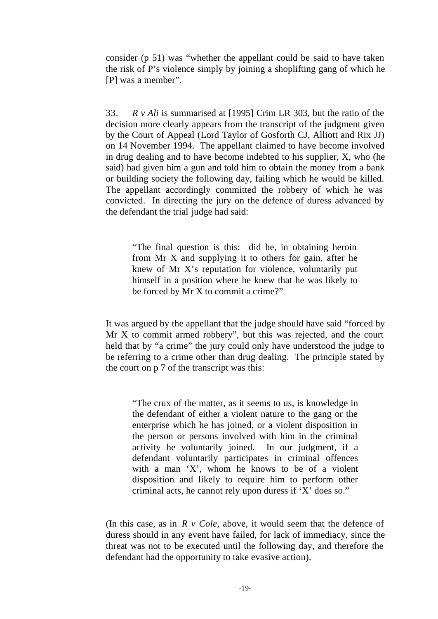consider (p 51) was "whether the appellant could be said to have taken the risk of P's violence simply by joining a shoplifting gang of which he [P] was a member".

33. *R v Ali* is summarised at [1995] Crim LR 303, but the ratio of the decision more clearly appears from the transcript of the judgment given by the Court of Appeal (Lord Taylor of Gosforth CJ, Alliott and Rix JJ) on 14 November 1994. The appellant claimed to have become involved in drug dealing and to have become indebted to his supplier, X, who (he said) had given him a gun and told him to obtain the money from a bank or building society the following day, failing which he would be killed. The appellant accordingly committed the robbery of which he was convicted. In directing the jury on the defence of duress advanced by the defendant the trial judge had said:

"The final question is this: did he, in obtaining heroin from Mr X and supplying it to others for gain, after he knew of Mr X's reputation for violence, voluntarily put himself in a position where he knew that he was likely to be forced by Mr X to commit a crime?"

It was argued by the appellant that the judge should have said "forced by Mr X to commit armed robbery", but this was rejected, and the court held that by "a crime" the jury could only have understood the judge to be referring to a crime other than drug dealing. The principle stated by the court on p 7 of the transcript was this:

"The crux of the matter, as it seems to us, is knowledge in the defendant of either a violent nature to the gang or the enterprise which he has joined, or a violent disposition in the person or persons involved with him in the criminal activity he voluntarily joined. In our judgment, if a defendant voluntarily participates in criminal offences with a man 'X', whom he knows to be of a violent disposition and likely to require him to perform other criminal acts, he cannot rely upon duress if 'X' does so."

(In this case, as in *R v Cole*, above, it would seem that the defence of duress should in any event have failed, for lack of immediacy, since the threat was not to be executed until the following day, and therefore the defendant had the opportunity to take evasive action).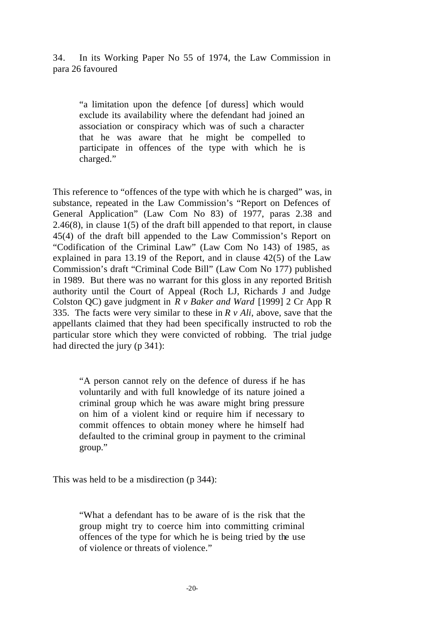34. In its Working Paper No 55 of 1974, the Law Commission in para 26 favoured

"a limitation upon the defence [of duress] which would exclude its availability where the defendant had joined an association or conspiracy which was of such a character that he was aware that he might be compelled to participate in offences of the type with which he is charged."

This reference to "offences of the type with which he is charged" was, in substance, repeated in the Law Commission's "Report on Defences of General Application" (Law Com No 83) of 1977, paras 2.38 and 2.46(8), in clause 1(5) of the draft bill appended to that report, in clause 45(4) of the draft bill appended to the Law Commission's Report on "Codification of the Criminal Law" (Law Com No 143) of 1985, as explained in para 13.19 of the Report, and in clause 42(5) of the Law Commission's draft "Criminal Code Bill" (Law Com No 177) published in 1989. But there was no warrant for this gloss in any reported British authority until the Court of Appeal (Roch LJ, Richards J and Judge Colston QC) gave judgment in *R v Baker and Ward* [1999] 2 Cr App R 335. The facts were very similar to these in *R v Ali*, above, save that the appellants claimed that they had been specifically instructed to rob the particular store which they were convicted of robbing. The trial judge had directed the jury (p 341):

"A person cannot rely on the defence of duress if he has voluntarily and with full knowledge of its nature joined a criminal group which he was aware might bring pressure on him of a violent kind or require him if necessary to commit offences to obtain money where he himself had defaulted to the criminal group in payment to the criminal group."

This was held to be a misdirection (p 344):

"What a defendant has to be aware of is the risk that the group might try to coerce him into committing criminal offences of the type for which he is being tried by the use of violence or threats of violence."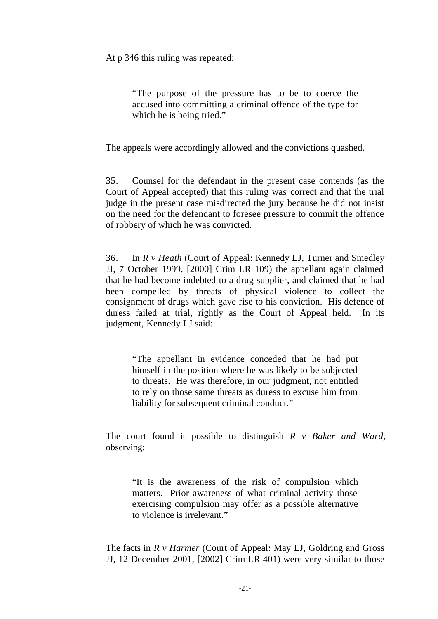At p 346 this ruling was repeated:

"The purpose of the pressure has to be to coerce the accused into committing a criminal offence of the type for which he is being tried."

The appeals were accordingly allowed and the convictions quashed.

35. Counsel for the defendant in the present case contends (as the Court of Appeal accepted) that this ruling was correct and that the trial judge in the present case misdirected the jury because he did not insist on the need for the defendant to foresee pressure to commit the offence of robbery of which he was convicted.

36. In *R v Heath* (Court of Appeal: Kennedy LJ, Turner and Smedley JJ, 7 October 1999, [2000] Crim LR 109) the appellant again claimed that he had become indebted to a drug supplier, and claimed that he had been compelled by threats of physical violence to collect the consignment of drugs which gave rise to his conviction. His defence of duress failed at trial, rightly as the Court of Appeal held. In its judgment, Kennedy LJ said:

"The appellant in evidence conceded that he had put himself in the position where he was likely to be subjected to threats. He was therefore, in our judgment, not entitled to rely on those same threats as duress to excuse him from liability for subsequent criminal conduct."

The court found it possible to distinguish *R v Baker and Ward,* observing:

"It is the awareness of the risk of compulsion which matters. Prior awareness of what criminal activity those exercising compulsion may offer as a possible alternative to violence is irrelevant."

The facts in *R v Harmer* (Court of Appeal: May LJ, Goldring and Gross JJ, 12 December 2001, [2002] Crim LR 401) were very similar to those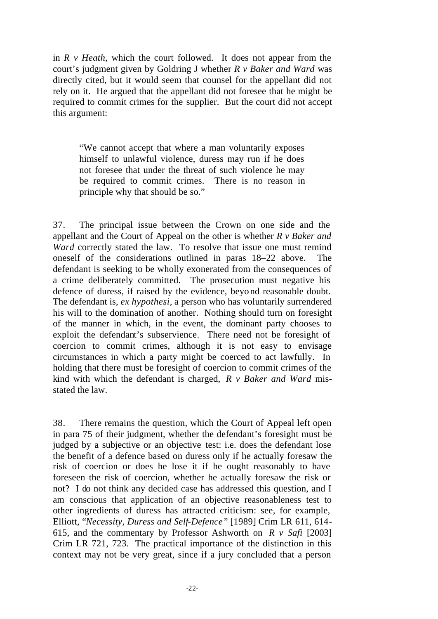in *R v Heath*, which the court followed. It does not appear from the court's judgment given by Goldring J whether *R v Baker and Ward* was directly cited, but it would seem that counsel for the appellant did not rely on it. He argued that the appellant did not foresee that he might be required to commit crimes for the supplier. But the court did not accept this argument:

"We cannot accept that where a man voluntarily exposes himself to unlawful violence, duress may run if he does not foresee that under the threat of such violence he may be required to commit crimes. There is no reason in principle why that should be so."

37. The principal issue between the Crown on one side and the appellant and the Court of Appeal on the other is whether *R v Baker and Ward* correctly stated the law. To resolve that issue one must remind oneself of the considerations outlined in paras 18–22 above. The defendant is seeking to be wholly exonerated from the consequences of a crime deliberately committed. The prosecution must negative his defence of duress, if raised by the evidence, beyo nd reasonable doubt. The defendant is, *ex hypothesi,* a person who has voluntarily surrendered his will to the domination of another. Nothing should turn on foresight of the manner in which, in the event, the dominant party chooses to exploit the defendant's subservience. There need not be foresight of coercion to commit crimes, although it is not easy to envisage circumstances in which a party might be coerced to act lawfully. In holding that there must be foresight of coercion to commit crimes of the kind with which the defendant is charged, *R v Baker and Ward* misstated the law.

38. There remains the question, which the Court of Appeal left open in para 75 of their judgment, whether the defendant's foresight must be judged by a subjective or an objective test: i.e. does the defendant lose the benefit of a defence based on duress only if he actually foresaw the risk of coercion or does he lose it if he ought reasonably to have foreseen the risk of coercion, whether he actually foresaw the risk or not? I do not think any decided case has addressed this question, and I am conscious that application of an objective reasonableness test to other ingredients of duress has attracted criticism: see, for example, Elliott*,* "*Necessity, Duress and Self-Defence"* [1989] Crim LR 611, 614- 615, and the commentary by Professor Ashworth on *R v Safi* [2003] Crim LR 721, 723. The practical importance of the distinction in this context may not be very great, since if a jury concluded that a person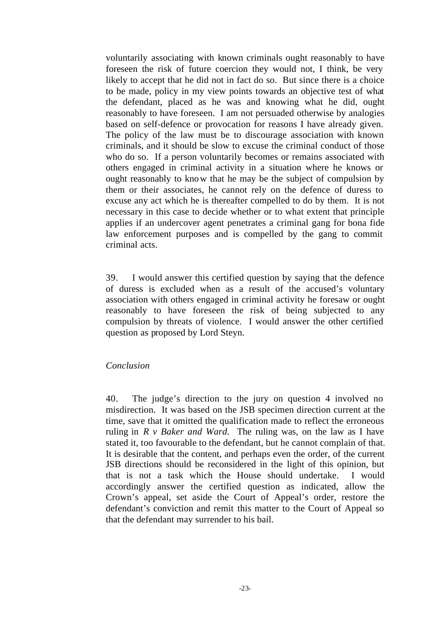voluntarily associating with known criminals ought reasonably to have foreseen the risk of future coercion they would not, I think, be very likely to accept that he did not in fact do so. But since there is a choice to be made, policy in my view points towards an objective test of what the defendant, placed as he was and knowing what he did, ought reasonably to have foreseen. I am not persuaded otherwise by analogies based on self-defence or provocation for reasons I have already given. The policy of the law must be to discourage association with known criminals, and it should be slow to excuse the criminal conduct of those who do so. If a person voluntarily becomes or remains associated with others engaged in criminal activity in a situation where he knows or ought reasonably to know that he may be the subject of compulsion by them or their associates, he cannot rely on the defence of duress to excuse any act which he is thereafter compelled to do by them. It is not necessary in this case to decide whether or to what extent that principle applies if an undercover agent penetrates a criminal gang for bona fide law enforcement purposes and is compelled by the gang to commit criminal acts.

39. I would answer this certified question by saying that the defence of duress is excluded when as a result of the accused's voluntary association with others engaged in criminal activity he foresaw or ought reasonably to have foreseen the risk of being subjected to any compulsion by threats of violence. I would answer the other certified question as proposed by Lord Steyn.

#### *Conclusion*

40. The judge's direction to the jury on question 4 involved no misdirection. It was based on the JSB specimen direction current at the time, save that it omitted the qualification made to reflect the erroneous ruling in *R v Baker and Ward.* The ruling was, on the law as I have stated it, too favourable to the defendant, but he cannot complain of that. It is desirable that the content, and perhaps even the order, of the current JSB directions should be reconsidered in the light of this opinion, but that is not a task which the House should undertake. I would accordingly answer the certified question as indicated, allow the Crown's appeal, set aside the Court of Appeal's order, restore the defendant's conviction and remit this matter to the Court of Appeal so that the defendant may surrender to his bail.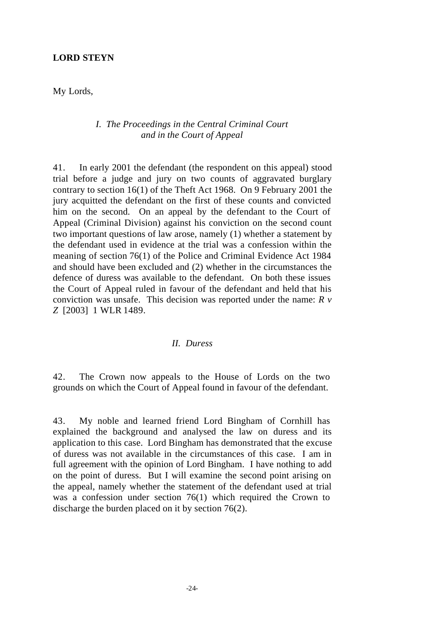#### **LORD STEYN**

My Lords,

#### *I. The Proceedings in the Central Criminal Court and in the Court of Appeal*

41. In early 2001 the defendant (the respondent on this appeal) stood trial before a judge and jury on two counts of aggravated burglary contrary to section 16(1) of the Theft Act 1968. On 9 February 2001 the jury acquitted the defendant on the first of these counts and convicted him on the second. On an appeal by the defendant to the Court of Appeal (Criminal Division) against his conviction on the second count two important questions of law arose, namely (1) whether a statement by the defendant used in evidence at the trial was a confession within the meaning of section 76(1) of the Police and Criminal Evidence Act 1984 and should have been excluded and (2) whether in the circumstances the defence of duress was available to the defendant. On both these issues the Court of Appeal ruled in favour of the defendant and held that his conviction was unsafe. This decision was reported under the name: *R v Z* [2003] 1 WLR 1489.

#### *II. Duress*

42. The Crown now appeals to the House of Lords on the two grounds on which the Court of Appeal found in favour of the defendant.

43. My noble and learned friend Lord Bingham of Cornhill has explained the background and analysed the law on duress and its application to this case. Lord Bingham has demonstrated that the excuse of duress was not available in the circumstances of this case. I am in full agreement with the opinion of Lord Bingham. I have nothing to add on the point of duress. But I will examine the second point arising on the appeal, namely whether the statement of the defendant used at trial was a confession under section 76(1) which required the Crown to discharge the burden placed on it by section 76(2).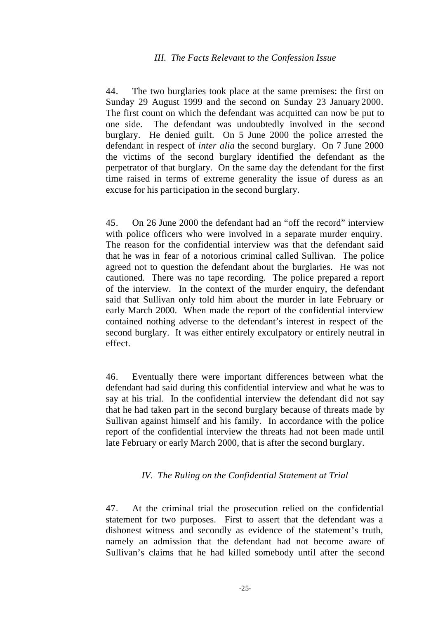#### *III. The Facts Relevant to the Confession Issue*

44. The two burglaries took place at the same premises: the first on Sunday 29 August 1999 and the second on Sunday 23 January 2000. The first count on which the defendant was acquitted can now be put to one side. The defendant was undoubtedly involved in the second burglary. He denied guilt. On 5 June 2000 the police arrested the defendant in respect of *inter alia* the second burglary. On 7 June 2000 the victims of the second burglary identified the defendant as the perpetrator of that burglary. On the same day the defendant for the first time raised in terms of extreme generality the issue of duress as an excuse for his participation in the second burglary.

45. On 26 June 2000 the defendant had an "off the record" interview with police officers who were involved in a separate murder enquiry. The reason for the confidential interview was that the defendant said that he was in fear of a notorious criminal called Sullivan. The police agreed not to question the defendant about the burglaries. He was not cautioned. There was no tape recording. The police prepared a report of the interview. In the context of the murder enquiry, the defendant said that Sullivan only told him about the murder in late February or early March 2000. When made the report of the confidential interview contained nothing adverse to the defendant's interest in respect of the second burglary. It was either entirely exculpatory or entirely neutral in effect.

46. Eventually there were important differences between what the defendant had said during this confidential interview and what he was to say at his trial. In the confidential interview the defendant did not say that he had taken part in the second burglary because of threats made by Sullivan against himself and his family. In accordance with the police report of the confidential interview the threats had not been made until late February or early March 2000, that is after the second burglary.

#### *IV. The Ruling on the Confidential Statement at Trial*

47. At the criminal trial the prosecution relied on the confidential statement for two purposes. First to assert that the defendant was a dishonest witness and secondly as evidence of the statement's truth, namely an admission that the defendant had not become aware of Sullivan's claims that he had killed somebody until after the second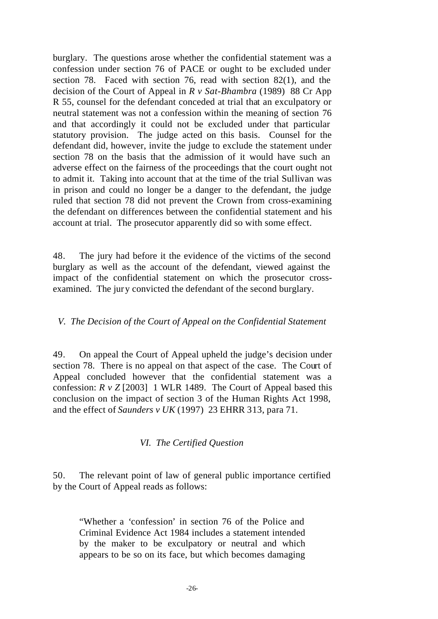burglary. The questions arose whether the confidential statement was a confession under section 76 of PACE or ought to be excluded under section 78. Faced with section 76, read with section 82(1), and the decision of the Court of Appeal in *R v Sat-Bhambra* (1989) 88 Cr App R 55, counsel for the defendant conceded at trial that an exculpatory or neutral statement was not a confession within the meaning of section 76 and that accordingly it could not be excluded under that particular statutory provision. The judge acted on this basis. Counsel for the defendant did, however, invite the judge to exclude the statement under section 78 on the basis that the admission of it would have such an adverse effect on the fairness of the proceedings that the court ought not to admit it. Taking into account that at the time of the trial Sullivan was in prison and could no longer be a danger to the defendant, the judge ruled that section 78 did not prevent the Crown from cross-examining the defendant on differences between the confidential statement and his account at trial. The prosecutor apparently did so with some effect.

48. The jury had before it the evidence of the victims of the second burglary as well as the account of the defendant, viewed against the impact of the confidential statement on which the prosecutor crossexamined. The jury convicted the defendant of the second burglary.

#### *V. The Decision of the Court of Appeal on the Confidential Statement*

49. On appeal the Court of Appeal upheld the judge's decision under section 78. There is no appeal on that aspect of the case. The Court of Appeal concluded however that the confidential statement was a confession: *R v Z* [2003] 1 WLR 1489. The Court of Appeal based this conclusion on the impact of section 3 of the Human Rights Act 1998, and the effect of *Saunders v UK* (1997) 23 EHRR 313, para 71.

#### *VI. The Certified Question*

50. The relevant point of law of general public importance certified by the Court of Appeal reads as follows:

"Whether a 'confession' in section 76 of the Police and Criminal Evidence Act 1984 includes a statement intended by the maker to be exculpatory or neutral and which appears to be so on its face, but which becomes damaging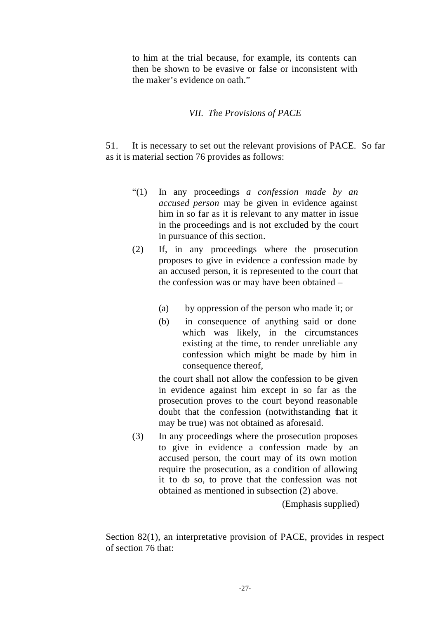to him at the trial because, for example, its contents can then be shown to be evasive or false or inconsistent with the maker's evidence on oath."

#### *VII. The Provisions of PACE*

51. It is necessary to set out the relevant provisions of PACE. So far as it is material section 76 provides as follows:

- "(1) In any proceedings *a confession made by an accused person* may be given in evidence against him in so far as it is relevant to any matter in issue in the proceedings and is not excluded by the court in pursuance of this section.
- (2) If, in any proceedings where the prosecution proposes to give in evidence a confession made by an accused person, it is represented to the court that the confession was or may have been obtained –
	- (a) by oppression of the person who made it; or
	- (b) in consequence of anything said or done which was likely, in the circumstances existing at the time, to render unreliable any confession which might be made by him in consequence thereof,

the court shall not allow the confession to be given in evidence against him except in so far as the prosecution proves to the court beyond reasonable doubt that the confession (notwithstanding that it may be true) was not obtained as aforesaid.

(3) In any proceedings where the prosecution proposes to give in evidence a confession made by an accused person, the court may of its own motion require the prosecution, as a condition of allowing it to do so, to prove that the confession was not obtained as mentioned in subsection (2) above.

(Emphasis supplied)

Section 82(1), an interpretative provision of PACE, provides in respect of section 76 that: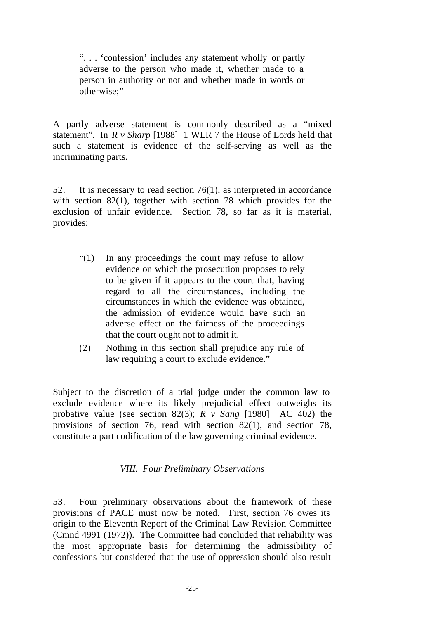". . . 'confession' includes any statement wholly or partly adverse to the person who made it, whether made to a person in authority or not and whether made in words or otherwise;"

A partly adverse statement is commonly described as a "mixed statement". In *R v Sharp* [1988] 1 WLR 7 the House of Lords held that such a statement is evidence of the self-serving as well as the incriminating parts.

52. It is necessary to read section 76(1), as interpreted in accordance with section 82(1), together with section 78 which provides for the exclusion of unfair evidence. Section 78, so far as it is material, provides:

- "(1) In any proceedings the court may refuse to allow evidence on which the prosecution proposes to rely to be given if it appears to the court that, having regard to all the circumstances, including the circumstances in which the evidence was obtained, the admission of evidence would have such an adverse effect on the fairness of the proceedings that the court ought not to admit it.
- (2) Nothing in this section shall prejudice any rule of law requiring a court to exclude evidence."

Subject to the discretion of a trial judge under the common law to exclude evidence where its likely prejudicial effect outweighs its probative value (see section 82(3); *R v Sang* [1980] AC 402) the provisions of section 76, read with section 82(1), and section 78, constitute a part codification of the law governing criminal evidence.

#### *VIII. Four Preliminary Observations*

53. Four preliminary observations about the framework of these provisions of PACE must now be noted. First, section 76 owes its origin to the Eleventh Report of the Criminal Law Revision Committee (Cmnd 4991 (1972)). The Committee had concluded that reliability was the most appropriate basis for determining the admissibility of confessions but considered that the use of oppression should also result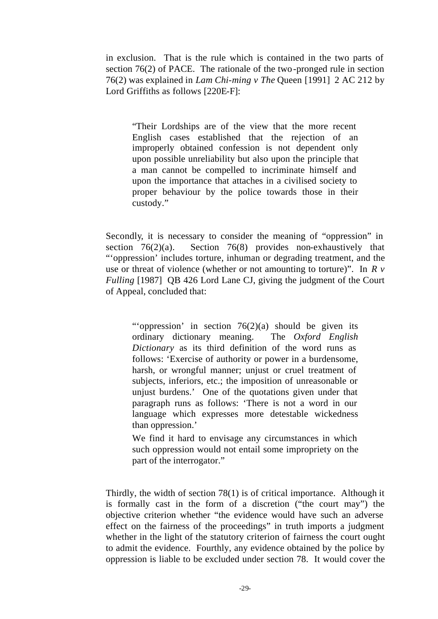in exclusion. That is the rule which is contained in the two parts of section 76(2) of PACE. The rationale of the two-pronged rule in section 76(2) was explained in *Lam Chi-ming v The* Queen [1991] 2 AC 212 by Lord Griffiths as follows [220E-F]:

"Their Lordships are of the view that the more recent English cases established that the rejection of an improperly obtained confession is not dependent only upon possible unreliability but also upon the principle that a man cannot be compelled to incriminate himself and upon the importance that attaches in a civilised society to proper behaviour by the police towards those in their custody."

Secondly, it is necessary to consider the meaning of "oppression" in section  $76(2)(a)$ . Section  $76(8)$  provides non-exhaustively that "'oppression' includes torture, inhuman or degrading treatment, and the use or threat of violence (whether or not amounting to torture)". In *R v Fulling* [1987] QB 426 Lord Lane CJ, giving the judgment of the Court of Appeal, concluded that:

"'oppression' in section  $76(2)(a)$  should be given its ordinary dictionary meaning. The *Oxford English Dictionary* as its third definition of the word runs as follows: 'Exercise of authority or power in a burdensome, harsh, or wrongful manner; unjust or cruel treatment of subjects, inferiors, etc.; the imposition of unreasonable or unjust burdens.' One of the quotations given under that paragraph runs as follows: 'There is not a word in our language which expresses more detestable wickedness than oppression.'

We find it hard to envisage any circumstances in which such oppression would not entail some impropriety on the part of the interrogator."

Thirdly, the width of section 78(1) is of critical importance. Although it is formally cast in the form of a discretion ("the court may") the objective criterion whether "the evidence would have such an adverse effect on the fairness of the proceedings" in truth imports a judgment whether in the light of the statutory criterion of fairness the court ought to admit the evidence. Fourthly, any evidence obtained by the police by oppression is liable to be excluded under section 78. It would cover the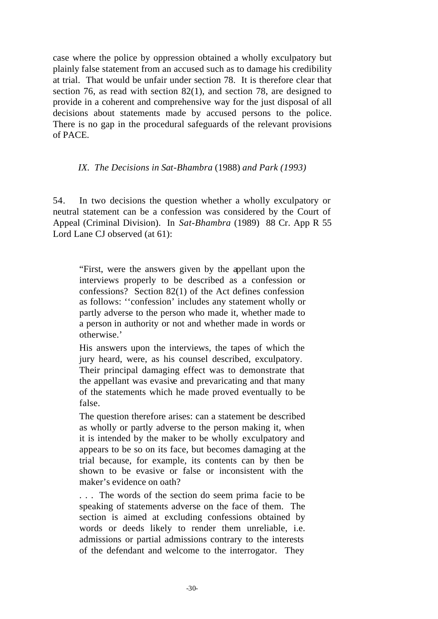case where the police by oppression obtained a wholly exculpatory but plainly false statement from an accused such as to damage his credibility at trial. That would be unfair under section 78. It is therefore clear that section 76, as read with section 82(1), and section 78, are designed to provide in a coherent and comprehensive way for the just disposal of all decisions about statements made by accused persons to the police. There is no gap in the procedural safeguards of the relevant provisions of PACE.

#### *IX. The Decisions in Sat-Bhambra* (1988) *and Park (1993)*

54. In two decisions the question whether a wholly exculpatory or neutral statement can be a confession was considered by the Court of Appeal (Criminal Division). In *Sat-Bhambra* (1989) 88 Cr. App R 55 Lord Lane CJ observed (at 61):

"First, were the answers given by the appellant upon the interviews properly to be described as a confession or confessions? Section 82(1) of the Act defines confession as follows: ''confession' includes any statement wholly or partly adverse to the person who made it, whether made to a person in authority or not and whether made in words or otherwise.'

His answers upon the interviews, the tapes of which the jury heard, were, as his counsel described, exculpatory. Their principal damaging effect was to demonstrate that the appellant was evasive and prevaricating and that many of the statements which he made proved eventually to be false.

The question therefore arises: can a statement be described as wholly or partly adverse to the person making it, when it is intended by the maker to be wholly exculpatory and appears to be so on its face, but becomes damaging at the trial because, for example, its contents can by then be shown to be evasive or false or inconsistent with the maker's evidence on oath?

. . . The words of the section do seem prima facie to be speaking of statements adverse on the face of them. The section is aimed at excluding confessions obtained by words or deeds likely to render them unreliable, i.e. admissions or partial admissions contrary to the interests of the defendant and welcome to the interrogator. They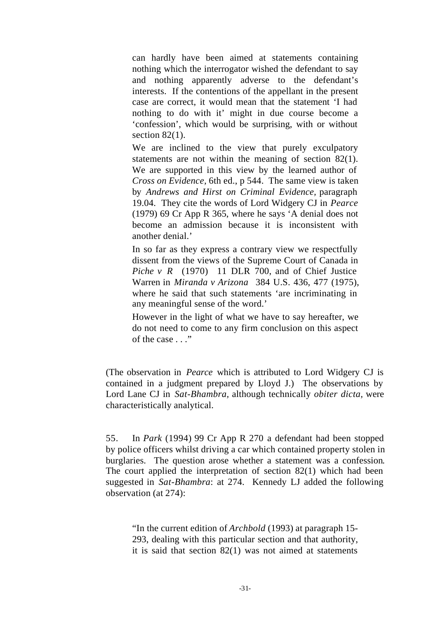can hardly have been aimed at statements containing nothing which the interrogator wished the defendant to say and nothing apparently adverse to the defendant's interests. If the contentions of the appellant in the present case are correct, it would mean that the statement 'I had nothing to do with it' might in due course become a 'confession', which would be surprising, with or without section 82(1).

We are inclined to the view that purely exculpatory statements are not within the meaning of section 82(1). We are supported in this view by the learned author of *Cross on Evidence,* 6th ed., p 544. The same view is taken by *Andrews and Hirst on Criminal Evidence,* paragraph 19.04. They cite the words of Lord Widgery CJ in *Pearce*  (1979) 69 Cr App R 365, where he says 'A denial does not become an admission because it is inconsistent with another denial.'

In so far as they express a contrary view we respectfully dissent from the views of the Supreme Court of Canada in *Piche v R* (1970) 11 DLR 700, and of Chief Justice Warren in *Miranda v Arizona* 384 U.S. 436, 477 (1975), where he said that such statements 'are incriminating in any meaningful sense of the word.'

However in the light of what we have to say hereafter, we do not need to come to any firm conclusion on this aspect of the case . . ."

(The observation in *Pearce* which is attributed to Lord Widgery CJ is contained in a judgment prepared by Lloyd J.) The observations by Lord Lane CJ in *Sat-Bhambra,* although technically *obiter dicta,* were characteristically analytical.

55. In *Park* (1994) 99 Cr App R 270 a defendant had been stopped by police officers whilst driving a car which contained property stolen in burglaries. The question arose whether a statement was a confession. The court applied the interpretation of section 82(1) which had been suggested in *Sat-Bhambra*: at 274. Kennedy LJ added the following observation (at 274):

"In the current edition of *Archbold* (1993) at paragraph 15- 293, dealing with this particular section and that authority, it is said that section 82(1) was not aimed at statements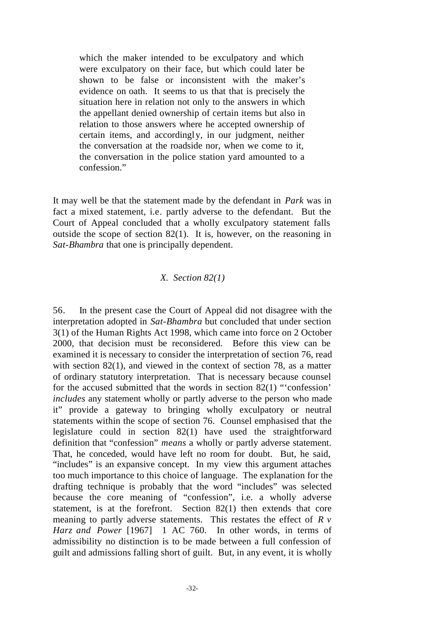which the maker intended to be exculpatory and which were exculpatory on their face, but which could later be shown to be false or inconsistent with the maker's evidence on oath. It seems to us that that is precisely the situation here in relation not only to the answers in which the appellant denied ownership of certain items but also in relation to those answers where he accepted ownership of certain items, and accordingly, in our judgment, neither the conversation at the roadside nor, when we come to it, the conversation in the police station yard amounted to a confession."

It may well be that the statement made by the defendant in *Park* was in fact a mixed statement, i.e. partly adverse to the defendant. But the Court of Appeal concluded that a wholly exculpatory statement falls outside the scope of section 82(1). It is, however, on the reasoning in *Sat-Bhambra* that one is principally dependent.

#### *X. Section 82(1)*

56. In the present case the Court of Appeal did not disagree with the interpretation adopted in *Sat-Bhambra* but concluded that under section 3(1) of the Human Rights Act 1998, which came into force on 2 October 2000, that decision must be reconsidered. Before this view can be examined it is necessary to consider the interpretation of section 76, read with section 82(1), and viewed in the context of section 78, as a matter of ordinary statutory interpretation. That is necessary because counsel for the accused submitted that the words in section 82(1) "'confession' *includes* any statement wholly or partly adverse to the person who made it" provide a gateway to bringing wholly exculpatory or neutral statements within the scope of section 76. Counsel emphasised that the legislature could in section 82(1) have used the straightforward definition that "confession" *means* a wholly or partly adverse statement. That, he conceded, would have left no room for doubt. But, he said, "includes" is an expansive concept. In my view this argument attaches too much importance to this choice of language. The explanation for the drafting technique is probably that the word "includes" was selected because the core meaning of "confession", i.e. a wholly adverse statement, is at the forefront. Section 82(1) then extends that core meaning to partly adverse statements. This restates the effect of *R v Harz and Power* [1967] 1 AC 760. In other words, in terms of admissibility no distinction is to be made between a full confession of guilt and admissions falling short of guilt. But, in any event, it is wholly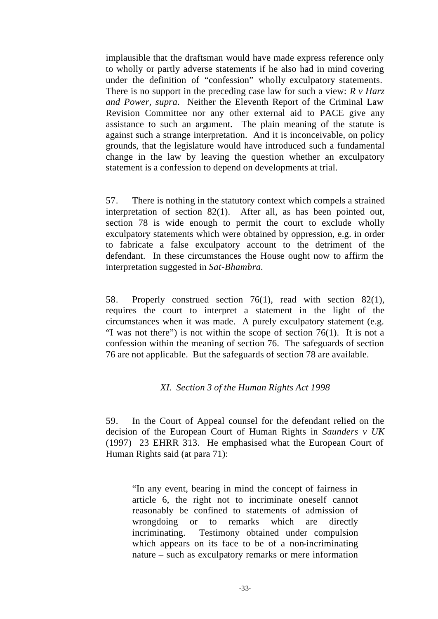implausible that the draftsman would have made express reference only to wholly or partly adverse statements if he also had in mind covering under the definition of "confession" wholly exculpatory statements. There is no support in the preceding case law for such a view: *R v Harz and Power, supra*. Neither the Eleventh Report of the Criminal Law Revision Committee nor any other external aid to PACE give any assistance to such an argument. The plain meaning of the statute is against such a strange interpretation. And it is inconceivable, on policy grounds, that the legislature would have introduced such a fundamental change in the law by leaving the question whether an exculpatory statement is a confession to depend on developments at trial.

57. There is nothing in the statutory context which compels a strained interpretation of section 82(1). After all, as has been pointed out, section 78 is wide enough to permit the court to exclude wholly exculpatory statements which were obtained by oppression, e.g. in order to fabricate a false exculpatory account to the detriment of the defendant. In these circumstances the House ought now to affirm the interpretation suggested in *Sat-Bhambra.*

58. Properly construed section 76(1), read with section 82(1), requires the court to interpret a statement in the light of the circumstances when it was made. A purely exculpatory statement (e.g. "I was not there") is not within the scope of section  $76(1)$ . It is not a confession within the meaning of section 76. The safeguards of section 76 are not applicable. But the safeguards of section 78 are available.

#### *XI. Section 3 of the Human Rights Act 1998*

59. In the Court of Appeal counsel for the defendant relied on the decision of the European Court of Human Rights in *Saunders v UK* (1997) 23 EHRR 313. He emphasised what the European Court of Human Rights said (at para 71):

"In any event, bearing in mind the concept of fairness in article 6, the right not to incriminate oneself cannot reasonably be confined to statements of admission of wrongdoing or to remarks which are directly incriminating. Testimony obtained under compulsion which appears on its face to be of a non-incriminating nature – such as exculpatory remarks or mere information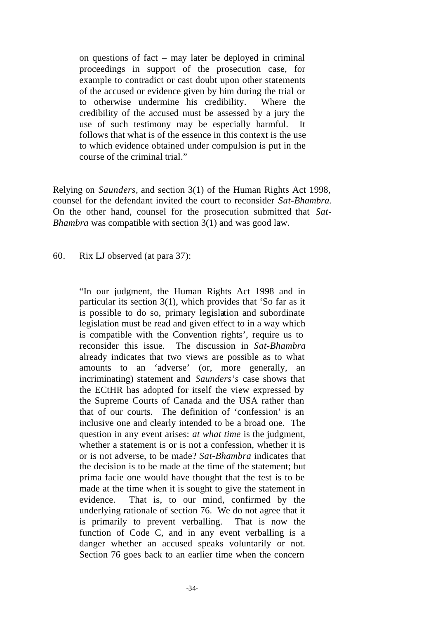on questions of fact – may later be deployed in criminal proceedings in support of the prosecution case, for example to contradict or cast doubt upon other statements of the accused or evidence given by him during the trial or to otherwise undermine his credibility. Where the credibility of the accused must be assessed by a jury the use of such testimony may be especially harmful. follows that what is of the essence in this context is the use to which evidence obtained under compulsion is put in the course of the criminal trial."

Relying on *Saunders,* and section 3(1) of the Human Rights Act 1998, counsel for the defendant invited the court to reconsider *Sat-Bhambra.*  On the other hand, counsel for the prosecution submitted that *Sat-Bhambra* was compatible with section 3(1) and was good law.

60. Rix LJ observed (at para 37):

"In our judgment, the Human Rights Act 1998 and in particular its section 3(1), which provides that 'So far as it is possible to do so, primary legislation and subordinate legislation must be read and given effect to in a way which is compatible with the Convention rights', require us to reconsider this issue. The discussion in *Sat-Bhambra* already indicates that two views are possible as to what amounts to an 'adverse' (or, more generally, an incriminating) statement and *Saunders's* case shows that the ECtHR has adopted for itself the view expressed by the Supreme Courts of Canada and the USA rather than that of our courts. The definition of 'confession' is an inclusive one and clearly intended to be a broad one. The question in any event arises: *at what time* is the judgment, whether a statement is or is not a confession, whether it is or is not adverse, to be made? *Sat-Bhambra* indicates that the decision is to be made at the time of the statement; but prima facie one would have thought that the test is to be made at the time when it is sought to give the statement in evidence. That is, to our mind, confirmed by the underlying rationale of section 76. We do not agree that it is primarily to prevent verballing. That is now the function of Code C, and in any event verballing is a danger whether an accused speaks voluntarily or not. Section 76 goes back to an earlier time when the concern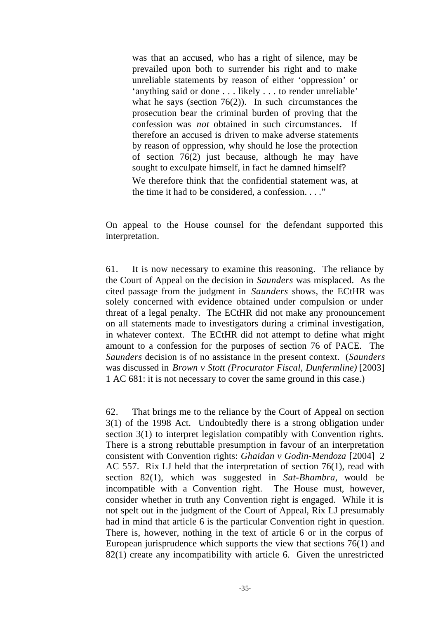was that an accused, who has a right of silence, may be prevailed upon both to surrender his right and to make unreliable statements by reason of either 'oppression' or 'anything said or done . . . likely . . . to render unreliable' what he says (section  $76(2)$ ). In such circumstances the prosecution bear the criminal burden of proving that the confession was *not* obtained in such circumstances. If therefore an accused is driven to make adverse statements by reason of oppression, why should he lose the protection of section 76(2) just because, although he may have sought to exculpate himself, in fact he damned himself?

We therefore think that the confidential statement was, at the time it had to be considered, a confession.  $\ldots$ "

On appeal to the House counsel for the defendant supported this interpretation.

61. It is now necessary to examine this reasoning. The reliance by the Court of Appeal on the decision in *Saunders* was misplaced. As the cited passage from the judgment in *Saunders* shows, the ECtHR was solely concerned with evidence obtained under compulsion or under threat of a legal penalty. The ECtHR did not make any pronouncement on all statements made to investigators during a criminal investigation, in whatever context. The ECtHR did not attempt to define what might amount to a confession for the purposes of section 76 of PACE. The *Saunders* decision is of no assistance in the present context. (*Saunders* was discussed in *Brown v Stott (Procurator Fiscal, Dunfermline)* [2003] 1 AC 681: it is not necessary to cover the same ground in this case.)

62. That brings me to the reliance by the Court of Appeal on section 3(1) of the 1998 Act. Undoubtedly there is a strong obligation under section 3(1) to interpret legislation compatibly with Convention rights. There is a strong rebuttable presumption in favour of an interpretation consistent with Convention rights: *Ghaidan v Godin-Mendoza* [2004] 2 AC 557. Rix LJ held that the interpretation of section 76(1), read with section 82(1), which was suggested in *Sat-Bhambra,* would be incompatible with a Convention right. The House must, however, consider whether in truth any Convention right is engaged. While it is not spelt out in the judgment of the Court of Appeal, Rix LJ presumably had in mind that article 6 is the particular Convention right in question. There is, however, nothing in the text of article 6 or in the corpus of European jurisprudence which supports the view that sections 76(1) and 82(1) create any incompatibility with article 6. Given the unrestricted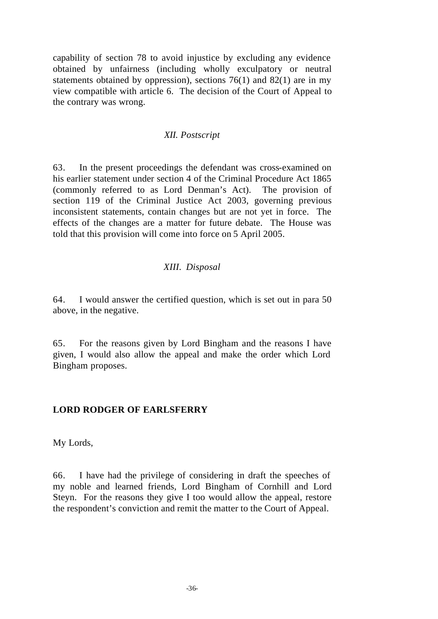capability of section 78 to avoid injustice by excluding any evidence obtained by unfairness (including wholly exculpatory or neutral statements obtained by oppression), sections  $76(1)$  and  $82(1)$  are in my view compatible with article 6. The decision of the Court of Appeal to the contrary was wrong.

#### *XII. Postscript*

63. In the present proceedings the defendant was cross-examined on his earlier statement under section 4 of the Criminal Procedure Act 1865 (commonly referred to as Lord Denman's Act). The provision of section 119 of the Criminal Justice Act 2003, governing previous inconsistent statements, contain changes but are not yet in force. The effects of the changes are a matter for future debate. The House was told that this provision will come into force on 5 April 2005.

#### *XIII. Disposal*

64. I would answer the certified question, which is set out in para 50 above, in the negative.

65. For the reasons given by Lord Bingham and the reasons I have given, I would also allow the appeal and make the order which Lord Bingham proposes.

#### **LORD RODGER OF EARLSFERRY**

My Lords,

66. I have had the privilege of considering in draft the speeches of my noble and learned friends, Lord Bingham of Cornhill and Lord Steyn. For the reasons they give I too would allow the appeal, restore the respondent's conviction and remit the matter to the Court of Appeal.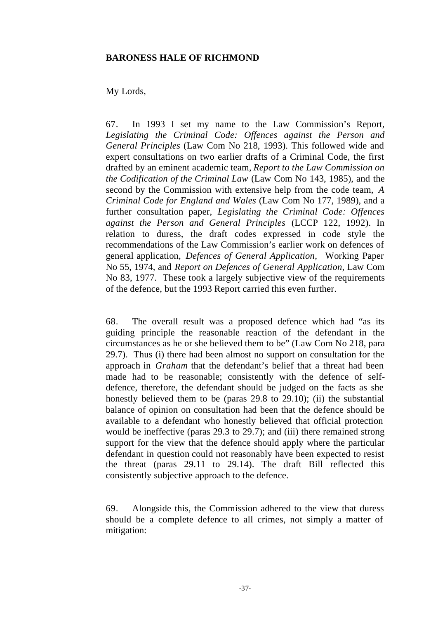#### **BARONESS HALE OF RICHMOND**

#### My Lords,

67. In 1993 I set my name to the Law Commission's Report, *Legislating the Criminal Code: Offences against the Person and General Principles* (Law Com No 218, 1993). This followed wide and expert consultations on two earlier drafts of a Criminal Code, the first drafted by an eminent academic team, *Report to the Law Commission on the Codification of the Criminal Law* (Law Com No 143, 1985), and the second by the Commission with extensive help from the code team, *A Criminal Code for England and Wales* (Law Com No 177, 1989), and a further consultation paper, *Legislating the Criminal Code: Offences against the Person and General Principles* (LCCP 122, 1992). In relation to duress, the draft codes expressed in code style the recommendations of the Law Commission's earlier work on defences of general application, *Defences of General Application,* Working Paper No 55, 1974, and *Report on Defences of General Application*, Law Com No 83, 1977. These took a largely subjective view of the requirements of the defence, but the 1993 Report carried this even further.

68. The overall result was a proposed defence which had "as its guiding principle the reasonable reaction of the defendant in the circumstances as he or she believed them to be" (Law Com No 218, para 29.7). Thus (i) there had been almost no support on consultation for the approach in *Graham* that the defendant's belief that a threat had been made had to be reasonable; consistently with the defence of selfdefence, therefore, the defendant should be judged on the facts as she honestly believed them to be (paras 29.8 to 29.10); (ii) the substantial balance of opinion on consultation had been that the defence should be available to a defendant who honestly believed that official protection would be ineffective (paras 29.3 to 29.7); and (iii) there remained strong support for the view that the defence should apply where the particular defendant in question could not reasonably have been expected to resist the threat (paras 29.11 to 29.14). The draft Bill reflected this consistently subjective approach to the defence.

69. Alongside this, the Commission adhered to the view that duress should be a complete defence to all crimes, not simply a matter of mitigation: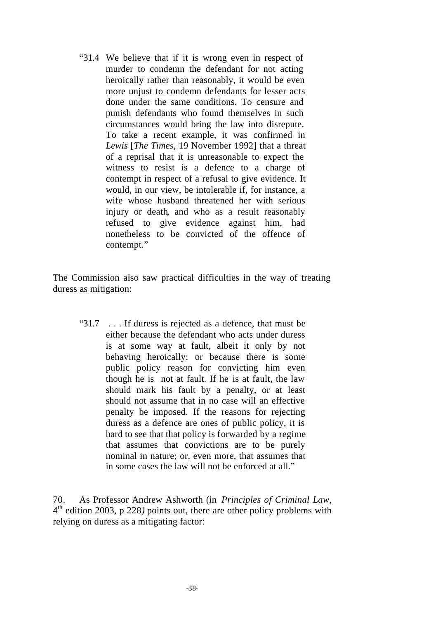"31.4 We believe that if it is wrong even in respect of murder to condemn the defendant for not acting heroically rather than reasonably, it would be even more unjust to condemn defendants for lesser acts done under the same conditions. To censure and punish defendants who found themselves in such circumstances would bring the law into disrepute. To take a recent example, it was confirmed in *Lewis* [*The Times*, 19 November 1992] that a threat of a reprisal that it is unreasonable to expect the witness to resist is a defence to a charge of contempt in respect of a refusal to give evidence. It would, in our view, be intolerable if, for instance, a wife whose husband threatened her with serious injury or death, and who as a result reasonably refused to give evidence against him, had nonetheless to be convicted of the offence of contempt."

The Commission also saw practical difficulties in the way of treating duress as mitigation:

" $31.7$  ... If duress is rejected as a defence, that must be either because the defendant who acts under duress is at some way at fault, albeit it only by not behaving heroically; or because there is some public policy reason for convicting him even though he is not at fault. If he is at fault, the law should mark his fault by a penalty, or at least should not assume that in no case will an effective penalty be imposed. If the reasons for rejecting duress as a defence are ones of public policy, it is hard to see that that policy is forwarded by a regime that assumes that convictions are to be purely nominal in nature; or, even more, that assumes that in some cases the law will not be enforced at all."

70. As Professor Andrew Ashworth (in *Principles of Criminal Law,*  $4<sup>th</sup>$  edition 2003, p 228) points out, there are other policy problems with relying on duress as a mitigating factor: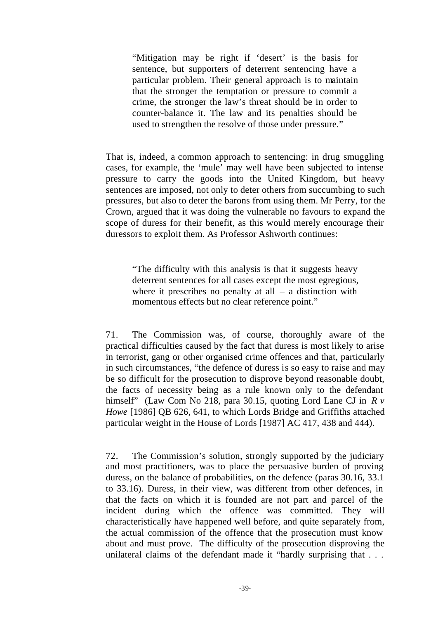"Mitigation may be right if 'desert' is the basis for sentence, but supporters of deterrent sentencing have a particular problem. Their general approach is to maintain that the stronger the temptation or pressure to commit a crime, the stronger the law's threat should be in order to counter-balance it. The law and its penalties should be used to strengthen the resolve of those under pressure."

That is, indeed, a common approach to sentencing: in drug smuggling cases, for example, the 'mule' may well have been subjected to intense pressure to carry the goods into the United Kingdom, but heavy sentences are imposed, not only to deter others from succumbing to such pressures, but also to deter the barons from using them. Mr Perry, for the Crown, argued that it was doing the vulnerable no favours to expand the scope of duress for their benefit, as this would merely encourage their duressors to exploit them. As Professor Ashworth continues:

"The difficulty with this analysis is that it suggests heavy deterrent sentences for all cases except the most egregious, where it prescribes no penalty at all  $-$  a distinction with momentous effects but no clear reference point."

71. The Commission was, of course, thoroughly aware of the practical difficulties caused by the fact that duress is most likely to arise in terrorist, gang or other organised crime offences and that, particularly in such circumstances, "the defence of duress is so easy to raise and may be so difficult for the prosecution to disprove beyond reasonable doubt, the facts of necessity being as a rule known only to the defendant himself" (Law Com No 218, para 30.15, quoting Lord Lane CJ in *R v Howe* [1986] QB 626, 641, to which Lords Bridge and Griffiths attached particular weight in the House of Lords [1987] AC 417, 438 and 444).

72. The Commission's solution, strongly supported by the judiciary and most practitioners, was to place the persuasive burden of proving duress, on the balance of probabilities, on the defence (paras 30.16, 33.1 to 33.16). Duress, in their view, was different from other defences, in that the facts on which it is founded are not part and parcel of the incident during which the offence was committed. They will characteristically have happened well before, and quite separately from, the actual commission of the offence that the prosecution must know about and must prove. The difficulty of the prosecution disproving the unilateral claims of the defendant made it "hardly surprising that . . .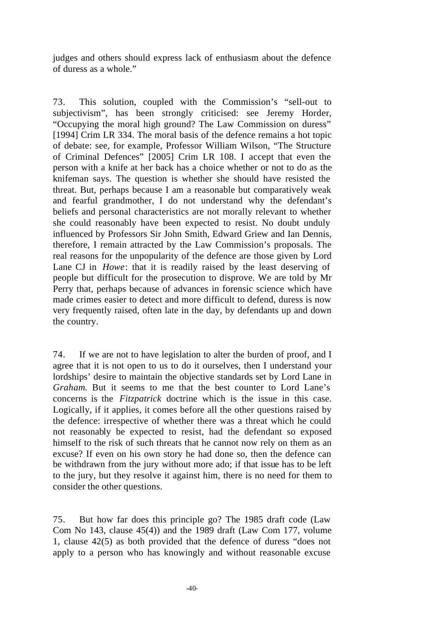judges and others should express lack of enthusiasm about the defence of duress as a whole."

73. This solution, coupled with the Commission's "sell-out to subjectivism", has been strongly criticised: see Jeremy Horder, "Occupying the moral high ground? The Law Commission on duress" [1994] Crim LR 334. The moral basis of the defence remains a hot topic of debate: see, for example, Professor William Wilson, "The Structure of Criminal Defences" [2005] Crim LR 108. I accept that even the person with a knife at her back has a choice whether or not to do as the knifeman says. The question is whether she should have resisted the threat. But, perhaps because I am a reasonable but comparatively weak and fearful grandmother, I do not understand why the defendant's beliefs and personal characteristics are not morally relevant to whether she could reasonably have been expected to resist. No doubt unduly influenced by Professors Sir John Smith, Edward Griew and Ian Dennis, therefore, I remain attracted by the Law Commission's proposals. The real reasons for the unpopularity of the defence are those given by Lord Lane CJ in *Howe*: that it is readily raised by the least deserving of people but difficult for the prosecution to disprove. We are told by Mr Perry that, perhaps because of advances in forensic science which have made crimes easier to detect and more difficult to defend, duress is now very frequently raised, often late in the day, by defendants up and down the country.

74. If we are not to have legislation to alter the burden of proof, and I agree that it is not open to us to do it ourselves, then I understand your lordships' desire to maintain the objective standards set by Lord Lane in *Graham*. But it seems to me that the best counter to Lord Lane's concerns is the *Fitzpatrick* doctrine which is the issue in this case. Logically, if it applies, it comes before all the other questions raised by the defence: irrespective of whether there was a threat which he could not reasonably be expected to resist, had the defendant so exposed himself to the risk of such threats that he cannot now rely on them as an excuse? If even on his own story he had done so, then the defence can be withdrawn from the jury without more ado; if that issue has to be left to the jury, but they resolve it against him, there is no need for them to consider the other questions.

75. But how far does this principle go? The 1985 draft code (Law Com No 143, clause 45(4)) and the 1989 draft (Law Com 177, volume 1, clause 42(5) as both provided that the defence of duress "does not apply to a person who has knowingly and without reasonable excuse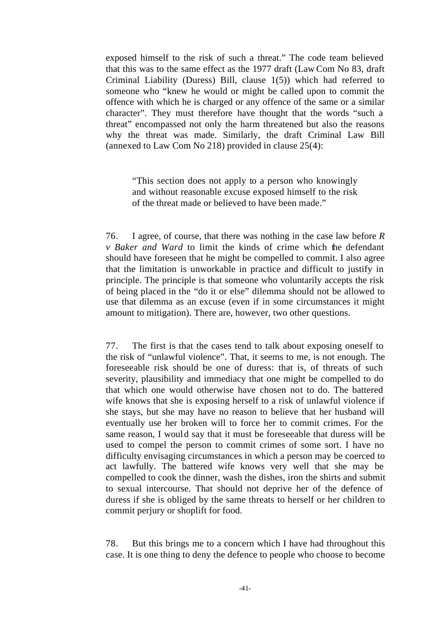exposed himself to the risk of such a threat." The code team believed that this was to the same effect as the 1977 draft (Law Com No 83, draft Criminal Liability (Duress) Bill, clause 1(5)) which had referred to someone who "knew he would or might be called upon to commit the offence with which he is charged or any offence of the same or a similar character". They must therefore have thought that the words "such a threat" encompassed not only the harm threatened but also the reasons why the threat was made. Similarly, the draft Criminal Law Bill (annexed to Law Com No 218) provided in clause 25(4):

"This section does not apply to a person who knowingly and without reasonable excuse exposed himself to the risk of the threat made or believed to have been made."

76. I agree, of course, that there was nothing in the case law before *R v Baker and Ward* to limit the kinds of crime which the defendant should have foreseen that he might be compelled to commit. I also agree that the limitation is unworkable in practice and difficult to justify in principle. The principle is that someone who voluntarily accepts the risk of being placed in the "do it or else" dilemma should not be allowed to use that dilemma as an excuse (even if in some circumstances it might amount to mitigation). There are, however, two other questions.

77. The first is that the cases tend to talk about exposing oneself to the risk of "unlawful violence". That, it seems to me, is not enough. The foreseeable risk should be one of duress: that is, of threats of such severity, plausibility and immediacy that one might be compelled to do that which one would otherwise have chosen not to do. The battered wife knows that she is exposing herself to a risk of unlawful violence if she stays, but she may have no reason to believe that her husband will eventually use her broken will to force her to commit crimes. For the same reason, I would say that it must be foreseeable that duress will be used to compel the person to commit crimes of some sort. I have no difficulty envisaging circumstances in which a person may be coerced to act lawfully. The battered wife knows very well that she may be compelled to cook the dinner, wash the dishes, iron the shirts and submit to sexual intercourse. That should not deprive her of the defence of duress if she is obliged by the same threats to herself or her children to commit perjury or shoplift for food.

78. But this brings me to a concern which I have had throughout this case. It is one thing to deny the defence to people who choose to become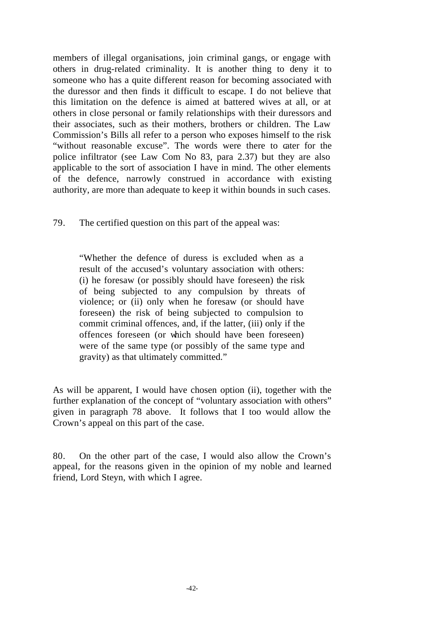members of illegal organisations, join criminal gangs, or engage with others in drug-related criminality. It is another thing to deny it to someone who has a quite different reason for becoming associated with the duressor and then finds it difficult to escape. I do not believe that this limitation on the defence is aimed at battered wives at all, or at others in close personal or family relationships with their duressors and their associates, such as their mothers, brothers or children. The Law Commission's Bills all refer to a person who exposes himself to the risk "without reasonable excuse". The words were there to cater for the police infiltrator (see Law Com No 83, para 2.37) but they are also applicable to the sort of association I have in mind. The other elements of the defence, narrowly construed in accordance with existing authority, are more than adequate to keep it within bounds in such cases.

79. The certified question on this part of the appeal was:

"Whether the defence of duress is excluded when as a result of the accused's voluntary association with others: (i) he foresaw (or possibly should have foreseen) the risk of being subjected to any compulsion by threats of violence; or (ii) only when he foresaw (or should have foreseen) the risk of being subjected to compulsion to commit criminal offences, and, if the latter, (iii) only if the offences foreseen (or which should have been foreseen) were of the same type (or possibly of the same type and gravity) as that ultimately committed."

As will be apparent, I would have chosen option (ii), together with the further explanation of the concept of "voluntary association with others" given in paragraph 78 above. It follows that I too would allow the Crown's appeal on this part of the case.

80. On the other part of the case, I would also allow the Crown's appeal, for the reasons given in the opinion of my noble and learned friend, Lord Steyn, with which I agree.